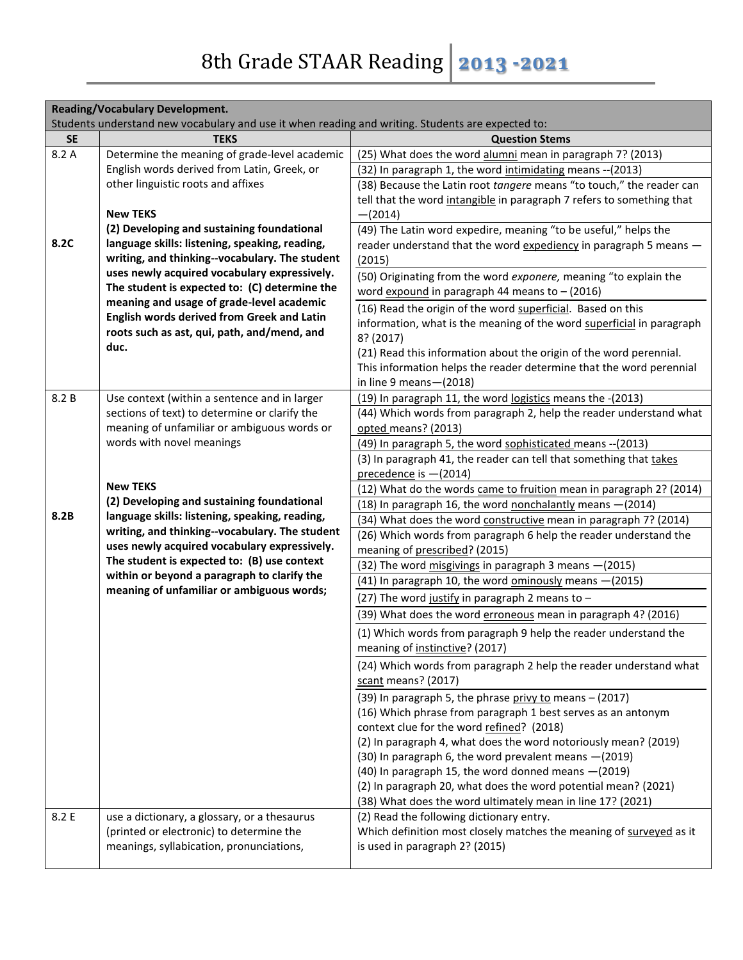|           | <b>Reading/Vocabulary Development.</b><br>Students understand new vocabulary and use it when reading and writing. Students are expected to: |                                                                       |  |
|-----------|---------------------------------------------------------------------------------------------------------------------------------------------|-----------------------------------------------------------------------|--|
| <b>SE</b> | <b>TEKS</b>                                                                                                                                 | <b>Question Stems</b>                                                 |  |
| 8.2 A     | Determine the meaning of grade-level academic                                                                                               | (25) What does the word alumni mean in paragraph 7? (2013)            |  |
|           | English words derived from Latin, Greek, or                                                                                                 |                                                                       |  |
|           | other linguistic roots and affixes                                                                                                          | (32) In paragraph 1, the word intimidating means -- (2013)            |  |
|           |                                                                                                                                             | (38) Because the Latin root tangere means "to touch," the reader can  |  |
|           | <b>New TEKS</b>                                                                                                                             | tell that the word intangible in paragraph 7 refers to something that |  |
|           | (2) Developing and sustaining foundational                                                                                                  | $-(2014)$                                                             |  |
| 8.2C      | language skills: listening, speaking, reading,                                                                                              | (49) The Latin word expedire, meaning "to be useful," helps the       |  |
|           | writing, and thinking--vocabulary. The student                                                                                              | reader understand that the word expediency in paragraph 5 means -     |  |
|           | uses newly acquired vocabulary expressively.                                                                                                | (2015)                                                                |  |
|           | The student is expected to: (C) determine the                                                                                               | (50) Originating from the word exponere, meaning "to explain the      |  |
|           | meaning and usage of grade-level academic                                                                                                   | word $expond$ in paragraph 44 means to $-$ (2016)                     |  |
|           | English words derived from Greek and Latin                                                                                                  | (16) Read the origin of the word superficial. Based on this           |  |
|           | roots such as ast, qui, path, and/mend, and                                                                                                 | information, what is the meaning of the word superficial in paragraph |  |
|           | duc.                                                                                                                                        | 8? (2017)                                                             |  |
|           |                                                                                                                                             | (21) Read this information about the origin of the word perennial.    |  |
|           |                                                                                                                                             | This information helps the reader determine that the word perennial   |  |
|           |                                                                                                                                             | in line 9 means - (2018)                                              |  |
| 8.2 B     | Use context (within a sentence and in larger                                                                                                | (19) In paragraph 11, the word logistics means the -(2013)            |  |
|           | sections of text) to determine or clarify the                                                                                               | (44) Which words from paragraph 2, help the reader understand what    |  |
|           | meaning of unfamiliar or ambiguous words or                                                                                                 | opted means? (2013)                                                   |  |
|           | words with novel meanings                                                                                                                   | (49) In paragraph 5, the word sophisticated means -- (2013)           |  |
|           |                                                                                                                                             | (3) In paragraph 41, the reader can tell that something that takes    |  |
|           |                                                                                                                                             | precedence is -(2014)                                                 |  |
|           | <b>New TEKS</b>                                                                                                                             | (12) What do the words came to fruition mean in paragraph 2? (2014)   |  |
|           | (2) Developing and sustaining foundational                                                                                                  | (18) In paragraph 16, the word nonchalantly means - (2014)            |  |
| 8.2B      | language skills: listening, speaking, reading,                                                                                              | (34) What does the word constructive mean in paragraph 7? (2014)      |  |
|           | writing, and thinking--vocabulary. The student                                                                                              | (26) Which words from paragraph 6 help the reader understand the      |  |
|           | uses newly acquired vocabulary expressively.<br>The student is expected to: (B) use context                                                 | meaning of prescribed? (2015)                                         |  |
|           | within or beyond a paragraph to clarify the                                                                                                 | (32) The word misgivings in paragraph 3 means - (2015)                |  |
|           | meaning of unfamiliar or ambiguous words;                                                                                                   | (41) In paragraph 10, the word ominously means -(2015)                |  |
|           |                                                                                                                                             | (27) The word justify in paragraph 2 means to $-$                     |  |
|           |                                                                                                                                             | (39) What does the word erroneous mean in paragraph 4? (2016)         |  |
|           |                                                                                                                                             | (1) Which words from paragraph 9 help the reader understand the       |  |
|           |                                                                                                                                             | meaning of instinctive? (2017)                                        |  |
|           |                                                                                                                                             | (24) Which words from paragraph 2 help the reader understand what     |  |
|           |                                                                                                                                             | scant means? (2017)                                                   |  |
|           |                                                                                                                                             | (39) In paragraph 5, the phrase privy to means - (2017)               |  |
|           |                                                                                                                                             | (16) Which phrase from paragraph 1 best serves as an antonym          |  |
|           |                                                                                                                                             | context clue for the word refined? (2018)                             |  |
|           |                                                                                                                                             | (2) In paragraph 4, what does the word notoriously mean? (2019)       |  |
|           |                                                                                                                                             | (30) In paragraph 6, the word prevalent means - (2019)                |  |
|           |                                                                                                                                             | (40) In paragraph 15, the word donned means -(2019)                   |  |
|           |                                                                                                                                             | (2) In paragraph 20, what does the word potential mean? (2021)        |  |
|           |                                                                                                                                             | (38) What does the word ultimately mean in line 17? (2021)            |  |
| 8.2 E     | use a dictionary, a glossary, or a thesaurus                                                                                                | (2) Read the following dictionary entry.                              |  |
|           | (printed or electronic) to determine the                                                                                                    | Which definition most closely matches the meaning of surveyed as it   |  |
|           | meanings, syllabication, pronunciations,                                                                                                    | is used in paragraph 2? (2015)                                        |  |
|           |                                                                                                                                             |                                                                       |  |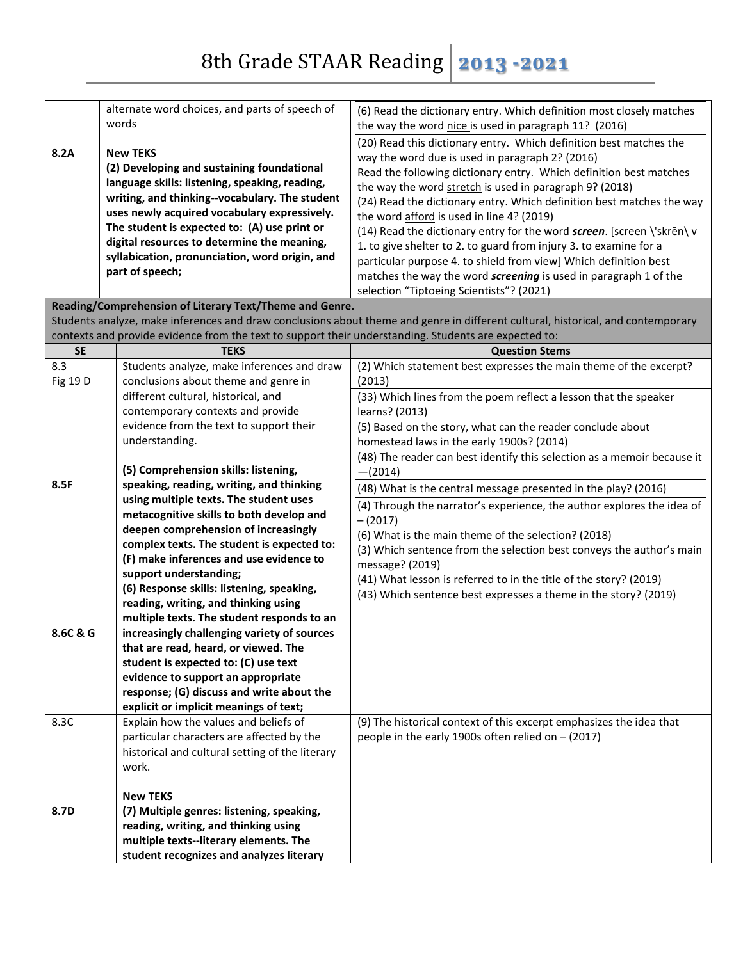|                 | alternate word choices, and parts of speech of<br>words                                               | (6) Read the dictionary entry. Which definition most closely matches<br>the way the word nice is used in paragraph 11? (2016)    |
|-----------------|-------------------------------------------------------------------------------------------------------|----------------------------------------------------------------------------------------------------------------------------------|
|                 |                                                                                                       | (20) Read this dictionary entry. Which definition best matches the                                                               |
| 8.2A            | <b>New TEKS</b>                                                                                       | way the word due is used in paragraph 2? (2016)                                                                                  |
|                 | (2) Developing and sustaining foundational                                                            | Read the following dictionary entry. Which definition best matches                                                               |
|                 | language skills: listening, speaking, reading,                                                        | the way the word stretch is used in paragraph 9? (2018)                                                                          |
|                 | writing, and thinking--vocabulary. The student                                                        | (24) Read the dictionary entry. Which definition best matches the way                                                            |
|                 | uses newly acquired vocabulary expressively.                                                          | the word afford is used in line 4? (2019)                                                                                        |
|                 | The student is expected to: (A) use print or                                                          | (14) Read the dictionary entry for the word screen. [screen \'skren\v                                                            |
|                 | digital resources to determine the meaning,                                                           | 1. to give shelter to 2. to guard from injury 3. to examine for a                                                                |
|                 | syllabication, pronunciation, word origin, and                                                        |                                                                                                                                  |
|                 | part of speech;                                                                                       | particular purpose 4. to shield from view] Which definition best                                                                 |
|                 |                                                                                                       | matches the way the word screening is used in paragraph 1 of the                                                                 |
|                 |                                                                                                       | selection "Tiptoeing Scientists"? (2021)                                                                                         |
|                 | Reading/Comprehension of Literary Text/Theme and Genre.                                               |                                                                                                                                  |
|                 |                                                                                                       | Students analyze, make inferences and draw conclusions about theme and genre in different cultural, historical, and contemporary |
|                 | contexts and provide evidence from the text to support their understanding. Students are expected to: |                                                                                                                                  |
| <b>SE</b>       | <b>TEKS</b>                                                                                           | <b>Question Stems</b>                                                                                                            |
| 8.3             | Students analyze, make inferences and draw                                                            | (2) Which statement best expresses the main theme of the excerpt?                                                                |
| <b>Fig 19 D</b> | conclusions about theme and genre in                                                                  | (2013)                                                                                                                           |
|                 | different cultural, historical, and                                                                   | (33) Which lines from the poem reflect a lesson that the speaker                                                                 |
|                 | contemporary contexts and provide                                                                     | learns? (2013)                                                                                                                   |
|                 | evidence from the text to support their                                                               | (5) Based on the story, what can the reader conclude about                                                                       |
|                 | understanding.                                                                                        | homestead laws in the early 1900s? (2014)                                                                                        |
|                 |                                                                                                       | (48) The reader can best identify this selection as a memoir because it                                                          |
|                 | (5) Comprehension skills: listening,                                                                  | $-(2014)$                                                                                                                        |
| 8.5F            | speaking, reading, writing, and thinking                                                              | (48) What is the central message presented in the play? (2016)                                                                   |
|                 | using multiple texts. The student uses                                                                | (4) Through the narrator's experience, the author explores the idea of                                                           |
|                 | metacognitive skills to both develop and                                                              | $-(2017)$                                                                                                                        |
|                 | deepen comprehension of increasingly                                                                  | (6) What is the main theme of the selection? (2018)                                                                              |
|                 | complex texts. The student is expected to:                                                            | (3) Which sentence from the selection best conveys the author's main                                                             |
|                 | (F) make inferences and use evidence to                                                               | message? (2019)                                                                                                                  |
|                 | support understanding;                                                                                | (41) What lesson is referred to in the title of the story? (2019)                                                                |
|                 | (6) Response skills: listening, speaking,                                                             | (43) Which sentence best expresses a theme in the story? (2019)                                                                  |
|                 | reading, writing, and thinking using                                                                  |                                                                                                                                  |
|                 | multiple texts. The student responds to an                                                            |                                                                                                                                  |
| 8.6C & G        | increasingly challenging variety of sources                                                           |                                                                                                                                  |
|                 | that are read, heard, or viewed. The                                                                  |                                                                                                                                  |
|                 | student is expected to: (C) use text                                                                  |                                                                                                                                  |
|                 | evidence to support an appropriate                                                                    |                                                                                                                                  |
|                 | response; (G) discuss and write about the                                                             |                                                                                                                                  |
|                 | explicit or implicit meanings of text;                                                                |                                                                                                                                  |
| 8.3C            | Explain how the values and beliefs of                                                                 | (9) The historical context of this excerpt emphasizes the idea that                                                              |
|                 | particular characters are affected by the                                                             | people in the early 1900s often relied on $-$ (2017)                                                                             |
|                 | historical and cultural setting of the literary                                                       |                                                                                                                                  |
|                 | work.                                                                                                 |                                                                                                                                  |
|                 |                                                                                                       |                                                                                                                                  |
|                 | <b>New TEKS</b>                                                                                       |                                                                                                                                  |
| 8.7D            | (7) Multiple genres: listening, speaking,                                                             |                                                                                                                                  |
|                 | reading, writing, and thinking using                                                                  |                                                                                                                                  |
|                 | multiple texts--literary elements. The                                                                |                                                                                                                                  |
|                 | student recognizes and analyzes literary                                                              |                                                                                                                                  |
|                 |                                                                                                       |                                                                                                                                  |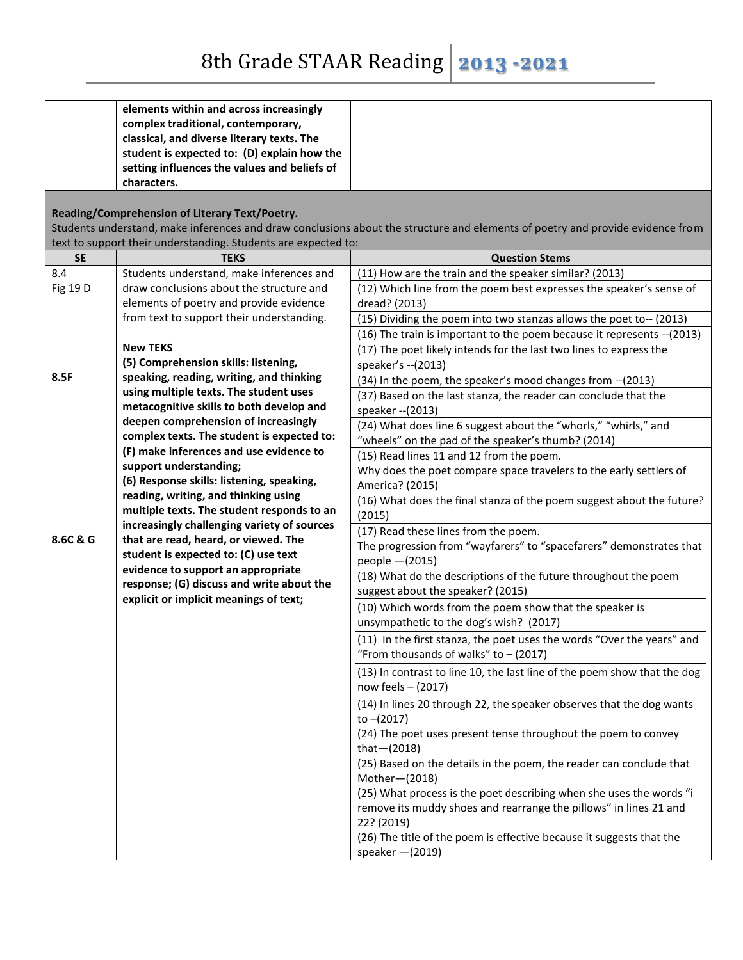|           | elements within and across increasingly                        |                                                                                                                                |
|-----------|----------------------------------------------------------------|--------------------------------------------------------------------------------------------------------------------------------|
|           | complex traditional, contemporary,                             |                                                                                                                                |
|           | classical, and diverse literary texts. The                     |                                                                                                                                |
|           | student is expected to: (D) explain how the                    |                                                                                                                                |
|           | setting influences the values and beliefs of                   |                                                                                                                                |
|           | characters.                                                    |                                                                                                                                |
|           | Reading/Comprehension of Literary Text/Poetry.                 |                                                                                                                                |
|           |                                                                | Students understand, make inferences and draw conclusions about the structure and elements of poetry and provide evidence from |
|           | text to support their understanding. Students are expected to: |                                                                                                                                |
| <b>SE</b> | <b>TEKS</b>                                                    | <b>Question Stems</b>                                                                                                          |
| 8.4       | Students understand, make inferences and                       | (11) How are the train and the speaker similar? (2013)                                                                         |
| Fig 19 D  | draw conclusions about the structure and                       | (12) Which line from the poem best expresses the speaker's sense of                                                            |
|           | elements of poetry and provide evidence                        | dread? (2013)                                                                                                                  |
|           | from text to support their understanding.                      | (15) Dividing the poem into two stanzas allows the poet to-- (2013)                                                            |
|           |                                                                | (16) The train is important to the poem because it represents -- (2013)                                                        |
|           | <b>New TEKS</b>                                                | (17) The poet likely intends for the last two lines to express the                                                             |
|           | (5) Comprehension skills: listening,                           | speaker's -- (2013)                                                                                                            |
| 8.5F      | speaking, reading, writing, and thinking                       | (34) In the poem, the speaker's mood changes from -- (2013)                                                                    |
|           | using multiple texts. The student uses                         | (37) Based on the last stanza, the reader can conclude that the                                                                |
|           | metacognitive skills to both develop and                       | speaker -- (2013)                                                                                                              |
|           | deepen comprehension of increasingly                           | (24) What does line 6 suggest about the "whorls," "whirls," and                                                                |
|           | complex texts. The student is expected to:                     | "wheels" on the pad of the speaker's thumb? (2014)                                                                             |
|           | (F) make inferences and use evidence to                        | (15) Read lines 11 and 12 from the poem.                                                                                       |
|           | support understanding;                                         | Why does the poet compare space travelers to the early settlers of                                                             |
|           | (6) Response skills: listening, speaking,                      | America? (2015)                                                                                                                |
|           | reading, writing, and thinking using                           | (16) What does the final stanza of the poem suggest about the future?                                                          |
|           | multiple texts. The student responds to an                     | (2015)                                                                                                                         |
|           | increasingly challenging variety of sources                    | (17) Read these lines from the poem.                                                                                           |
| 8.6C & G  | that are read, heard, or viewed. The                           | The progression from "wayfarers" to "spacefarers" demonstrates that                                                            |
|           | student is expected to: (C) use text                           | people $-(2015)$                                                                                                               |
|           | evidence to support an appropriate                             | (18) What do the descriptions of the future throughout the poem                                                                |
|           | response; (G) discuss and write about the                      | suggest about the speaker? (2015)                                                                                              |
|           | explicit or implicit meanings of text;                         | (10) Which words from the poem show that the speaker is                                                                        |
|           |                                                                | unsympathetic to the dog's wish? (2017)                                                                                        |
|           |                                                                | (11) In the first stanza, the poet uses the words "Over the years" and                                                         |
|           |                                                                | "From thousands of walks" to $-$ (2017)                                                                                        |
|           |                                                                | (13) In contrast to line 10, the last line of the poem show that the dog                                                       |
|           |                                                                | now feels $-$ (2017)                                                                                                           |
|           |                                                                | (14) In lines 20 through 22, the speaker observes that the dog wants                                                           |
|           |                                                                | to $-(2017)$                                                                                                                   |
|           |                                                                | (24) The poet uses present tense throughout the poem to convey                                                                 |
|           |                                                                | that $-(2018)$                                                                                                                 |
|           |                                                                | (25) Based on the details in the poem, the reader can conclude that                                                            |
|           |                                                                | Mother-(2018)                                                                                                                  |
|           |                                                                | (25) What process is the poet describing when she uses the words "i                                                            |
|           |                                                                | remove its muddy shoes and rearrange the pillows" in lines 21 and                                                              |
|           |                                                                | 22? (2019)                                                                                                                     |
|           |                                                                | (26) The title of the poem is effective because it suggests that the                                                           |
|           |                                                                | speaker $-(2019)$                                                                                                              |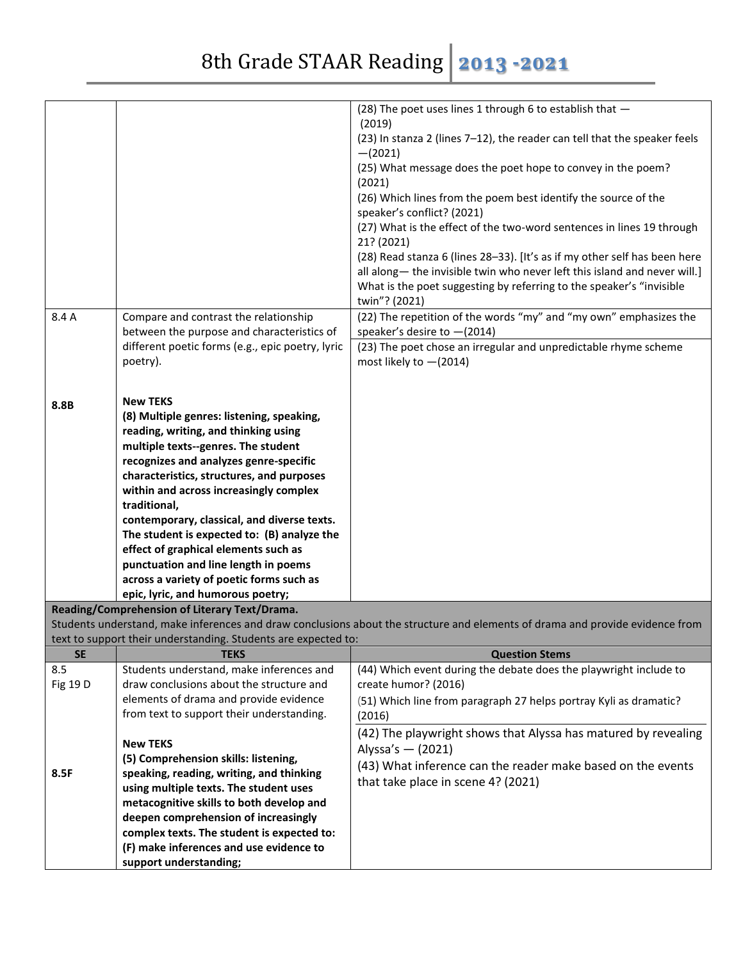| <b>SE</b><br>8.5<br>Fig 19 D<br>8.5F | across a variety of poetic forms such as<br>epic, lyric, and humorous poetry;<br>Reading/Comprehension of Literary Text/Drama.<br>text to support their understanding. Students are expected to:<br><b>TEKS</b><br>Students understand, make inferences and<br>draw conclusions about the structure and<br>elements of drama and provide evidence<br>from text to support their understanding.<br><b>New TEKS</b><br>(5) Comprehension skills: listening,<br>speaking, reading, writing, and thinking<br>using multiple texts. The student uses | Students understand, make inferences and draw conclusions about the structure and elements of drama and provide evidence from<br><b>Question Stems</b><br>(44) Which event during the debate does the playwright include to<br>create humor? (2016)<br>(51) Which line from paragraph 27 helps portray Kyli as dramatic?<br>(2016)<br>(42) The playwright shows that Alyssa has matured by revealing<br>Alyssa's - (2021)<br>(43) What inference can the reader make based on the events<br>that take place in scene 4? (2021) |
|--------------------------------------|-------------------------------------------------------------------------------------------------------------------------------------------------------------------------------------------------------------------------------------------------------------------------------------------------------------------------------------------------------------------------------------------------------------------------------------------------------------------------------------------------------------------------------------------------|--------------------------------------------------------------------------------------------------------------------------------------------------------------------------------------------------------------------------------------------------------------------------------------------------------------------------------------------------------------------------------------------------------------------------------------------------------------------------------------------------------------------------------|
|                                      |                                                                                                                                                                                                                                                                                                                                                                                                                                                                                                                                                 |                                                                                                                                                                                                                                                                                                                                                                                                                                                                                                                                |
|                                      |                                                                                                                                                                                                                                                                                                                                                                                                                                                                                                                                                 |                                                                                                                                                                                                                                                                                                                                                                                                                                                                                                                                |
|                                      |                                                                                                                                                                                                                                                                                                                                                                                                                                                                                                                                                 |                                                                                                                                                                                                                                                                                                                                                                                                                                                                                                                                |
|                                      |                                                                                                                                                                                                                                                                                                                                                                                                                                                                                                                                                 |                                                                                                                                                                                                                                                                                                                                                                                                                                                                                                                                |
|                                      |                                                                                                                                                                                                                                                                                                                                                                                                                                                                                                                                                 |                                                                                                                                                                                                                                                                                                                                                                                                                                                                                                                                |
|                                      |                                                                                                                                                                                                                                                                                                                                                                                                                                                                                                                                                 |                                                                                                                                                                                                                                                                                                                                                                                                                                                                                                                                |
|                                      |                                                                                                                                                                                                                                                                                                                                                                                                                                                                                                                                                 |                                                                                                                                                                                                                                                                                                                                                                                                                                                                                                                                |
|                                      |                                                                                                                                                                                                                                                                                                                                                                                                                                                                                                                                                 |                                                                                                                                                                                                                                                                                                                                                                                                                                                                                                                                |
|                                      | punctuation and line length in poems                                                                                                                                                                                                                                                                                                                                                                                                                                                                                                            |                                                                                                                                                                                                                                                                                                                                                                                                                                                                                                                                |
|                                      | effect of graphical elements such as                                                                                                                                                                                                                                                                                                                                                                                                                                                                                                            |                                                                                                                                                                                                                                                                                                                                                                                                                                                                                                                                |
|                                      | The student is expected to: (B) analyze the                                                                                                                                                                                                                                                                                                                                                                                                                                                                                                     |                                                                                                                                                                                                                                                                                                                                                                                                                                                                                                                                |
|                                      | contemporary, classical, and diverse texts.                                                                                                                                                                                                                                                                                                                                                                                                                                                                                                     |                                                                                                                                                                                                                                                                                                                                                                                                                                                                                                                                |
|                                      | traditional,                                                                                                                                                                                                                                                                                                                                                                                                                                                                                                                                    |                                                                                                                                                                                                                                                                                                                                                                                                                                                                                                                                |
|                                      | within and across increasingly complex                                                                                                                                                                                                                                                                                                                                                                                                                                                                                                          |                                                                                                                                                                                                                                                                                                                                                                                                                                                                                                                                |
|                                      | recognizes and analyzes genre-specific<br>characteristics, structures, and purposes                                                                                                                                                                                                                                                                                                                                                                                                                                                             |                                                                                                                                                                                                                                                                                                                                                                                                                                                                                                                                |
|                                      | multiple texts--genres. The student                                                                                                                                                                                                                                                                                                                                                                                                                                                                                                             |                                                                                                                                                                                                                                                                                                                                                                                                                                                                                                                                |
|                                      | reading, writing, and thinking using                                                                                                                                                                                                                                                                                                                                                                                                                                                                                                            |                                                                                                                                                                                                                                                                                                                                                                                                                                                                                                                                |
| 8.8B                                 | (8) Multiple genres: listening, speaking,                                                                                                                                                                                                                                                                                                                                                                                                                                                                                                       |                                                                                                                                                                                                                                                                                                                                                                                                                                                                                                                                |
|                                      | <b>New TEKS</b>                                                                                                                                                                                                                                                                                                                                                                                                                                                                                                                                 |                                                                                                                                                                                                                                                                                                                                                                                                                                                                                                                                |
|                                      |                                                                                                                                                                                                                                                                                                                                                                                                                                                                                                                                                 |                                                                                                                                                                                                                                                                                                                                                                                                                                                                                                                                |
|                                      | poetry).                                                                                                                                                                                                                                                                                                                                                                                                                                                                                                                                        | most likely to $-(2014)$                                                                                                                                                                                                                                                                                                                                                                                                                                                                                                       |
|                                      | between the purpose and characteristics of<br>different poetic forms (e.g., epic poetry, lyric                                                                                                                                                                                                                                                                                                                                                                                                                                                  | speaker's desire to $-(2014)$<br>(23) The poet chose an irregular and unpredictable rhyme scheme                                                                                                                                                                                                                                                                                                                                                                                                                               |
| 8.4 A                                | Compare and contrast the relationship                                                                                                                                                                                                                                                                                                                                                                                                                                                                                                           | (22) The repetition of the words "my" and "my own" emphasizes the                                                                                                                                                                                                                                                                                                                                                                                                                                                              |
|                                      |                                                                                                                                                                                                                                                                                                                                                                                                                                                                                                                                                 | twin"? (2021)                                                                                                                                                                                                                                                                                                                                                                                                                                                                                                                  |
|                                      |                                                                                                                                                                                                                                                                                                                                                                                                                                                                                                                                                 | What is the poet suggesting by referring to the speaker's "invisible                                                                                                                                                                                                                                                                                                                                                                                                                                                           |
|                                      |                                                                                                                                                                                                                                                                                                                                                                                                                                                                                                                                                 | (28) Read stanza 6 (lines 28-33). [It's as if my other self has been here<br>all along- the invisible twin who never left this island and never will.]                                                                                                                                                                                                                                                                                                                                                                         |
|                                      |                                                                                                                                                                                                                                                                                                                                                                                                                                                                                                                                                 | 21? (2021)                                                                                                                                                                                                                                                                                                                                                                                                                                                                                                                     |
|                                      |                                                                                                                                                                                                                                                                                                                                                                                                                                                                                                                                                 | (27) What is the effect of the two-word sentences in lines 19 through                                                                                                                                                                                                                                                                                                                                                                                                                                                          |
|                                      |                                                                                                                                                                                                                                                                                                                                                                                                                                                                                                                                                 | speaker's conflict? (2021)                                                                                                                                                                                                                                                                                                                                                                                                                                                                                                     |
|                                      |                                                                                                                                                                                                                                                                                                                                                                                                                                                                                                                                                 | (2021)<br>(26) Which lines from the poem best identify the source of the                                                                                                                                                                                                                                                                                                                                                                                                                                                       |
|                                      |                                                                                                                                                                                                                                                                                                                                                                                                                                                                                                                                                 | (25) What message does the poet hope to convey in the poem?                                                                                                                                                                                                                                                                                                                                                                                                                                                                    |
|                                      |                                                                                                                                                                                                                                                                                                                                                                                                                                                                                                                                                 | $-(2021)$                                                                                                                                                                                                                                                                                                                                                                                                                                                                                                                      |
|                                      |                                                                                                                                                                                                                                                                                                                                                                                                                                                                                                                                                 | (23) In stanza 2 (lines 7-12), the reader can tell that the speaker feels                                                                                                                                                                                                                                                                                                                                                                                                                                                      |
|                                      |                                                                                                                                                                                                                                                                                                                                                                                                                                                                                                                                                 | (28) The poet uses lines 1 through 6 to establish that -<br>(2019)                                                                                                                                                                                                                                                                                                                                                                                                                                                             |
|                                      |                                                                                                                                                                                                                                                                                                                                                                                                                                                                                                                                                 |                                                                                                                                                                                                                                                                                                                                                                                                                                                                                                                                |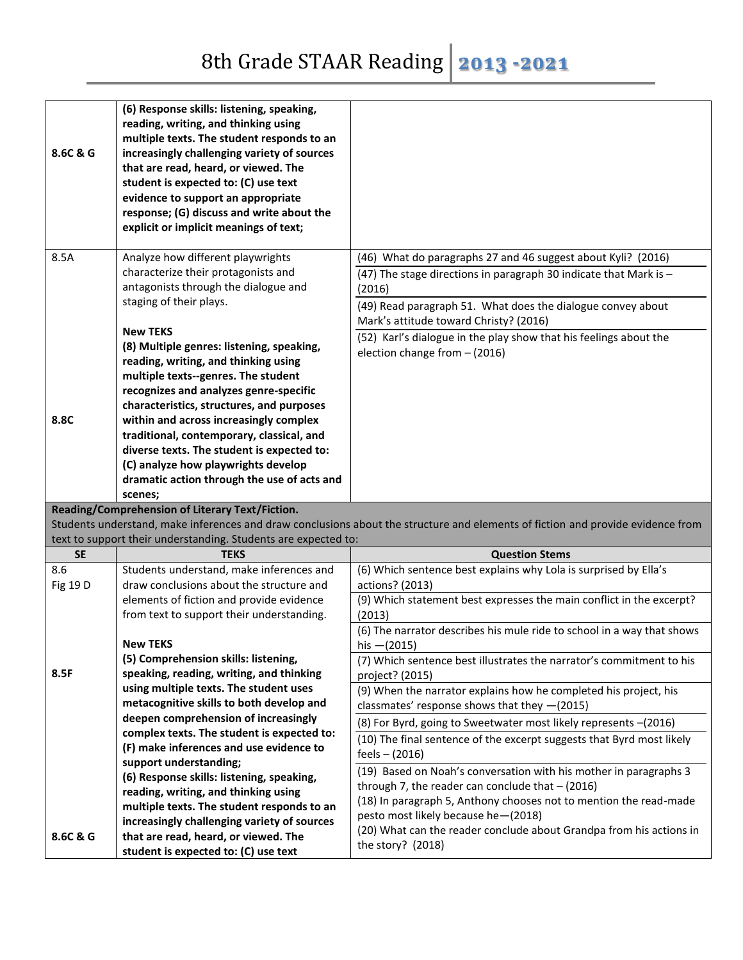| 8.6C & G  | (6) Response skills: listening, speaking,<br>reading, writing, and thinking using<br>multiple texts. The student responds to an<br>increasingly challenging variety of sources<br>that are read, heard, or viewed. The<br>student is expected to: (C) use text<br>evidence to support an appropriate<br>response; (G) discuss and write about the<br>explicit or implicit meanings of text; |                                                                                                                                                                                                                                                                                                                                                            |
|-----------|---------------------------------------------------------------------------------------------------------------------------------------------------------------------------------------------------------------------------------------------------------------------------------------------------------------------------------------------------------------------------------------------|------------------------------------------------------------------------------------------------------------------------------------------------------------------------------------------------------------------------------------------------------------------------------------------------------------------------------------------------------------|
| 8.5A      | Analyze how different playwrights<br>characterize their protagonists and<br>antagonists through the dialogue and<br>staging of their plays.<br><b>New TEKS</b><br>(8) Multiple genres: listening, speaking,<br>reading, writing, and thinking using                                                                                                                                         | (46) What do paragraphs 27 and 46 suggest about Kyli? (2016)<br>(47) The stage directions in paragraph 30 indicate that Mark is -<br>(2016)<br>(49) Read paragraph 51. What does the dialogue convey about<br>Mark's attitude toward Christy? (2016)<br>(52) Karl's dialogue in the play show that his feelings about the<br>election change from - (2016) |
| 8.8C      | multiple texts--genres. The student<br>recognizes and analyzes genre-specific<br>characteristics, structures, and purposes<br>within and across increasingly complex<br>traditional, contemporary, classical, and<br>diverse texts. The student is expected to:<br>(C) analyze how playwrights develop<br>dramatic action through the use of acts and                                       |                                                                                                                                                                                                                                                                                                                                                            |
|           |                                                                                                                                                                                                                                                                                                                                                                                             |                                                                                                                                                                                                                                                                                                                                                            |
|           | scenes;                                                                                                                                                                                                                                                                                                                                                                                     |                                                                                                                                                                                                                                                                                                                                                            |
|           | Reading/Comprehension of Literary Text/Fiction.                                                                                                                                                                                                                                                                                                                                             | Students understand, make inferences and draw conclusions about the structure and elements of fiction and provide evidence from                                                                                                                                                                                                                            |
|           | text to support their understanding. Students are expected to:                                                                                                                                                                                                                                                                                                                              |                                                                                                                                                                                                                                                                                                                                                            |
| <b>SE</b> | <b>TEKS</b>                                                                                                                                                                                                                                                                                                                                                                                 | <b>Question Stems</b>                                                                                                                                                                                                                                                                                                                                      |
| 8.6       | Students understand, make inferences and                                                                                                                                                                                                                                                                                                                                                    | (6) Which sentence best explains why Lola is surprised by Ella's                                                                                                                                                                                                                                                                                           |
| Fig 19 D  | draw conclusions about the structure and                                                                                                                                                                                                                                                                                                                                                    | actions? (2013)                                                                                                                                                                                                                                                                                                                                            |
|           | elements of fiction and provide evidence<br>from text to support their understanding.                                                                                                                                                                                                                                                                                                       | (9) Which statement best expresses the main conflict in the excerpt?<br>(2013)                                                                                                                                                                                                                                                                             |
|           |                                                                                                                                                                                                                                                                                                                                                                                             | (6) The narrator describes his mule ride to school in a way that shows                                                                                                                                                                                                                                                                                     |
|           | New TEKS                                                                                                                                                                                                                                                                                                                                                                                    | his $-(2015)$                                                                                                                                                                                                                                                                                                                                              |
|           | (5) Comprehension skills: listening,                                                                                                                                                                                                                                                                                                                                                        | (7) Which sentence best illustrates the narrator's commitment to his                                                                                                                                                                                                                                                                                       |
| 8.5F      | speaking, reading, writing, and thinking                                                                                                                                                                                                                                                                                                                                                    | project? (2015)                                                                                                                                                                                                                                                                                                                                            |
|           | using multiple texts. The student uses                                                                                                                                                                                                                                                                                                                                                      | (9) When the narrator explains how he completed his project, his                                                                                                                                                                                                                                                                                           |
|           | metacognitive skills to both develop and                                                                                                                                                                                                                                                                                                                                                    | classmates' response shows that they -(2015)                                                                                                                                                                                                                                                                                                               |
|           | deepen comprehension of increasingly<br>complex texts. The student is expected to:                                                                                                                                                                                                                                                                                                          | (8) For Byrd, going to Sweetwater most likely represents -(2016)                                                                                                                                                                                                                                                                                           |
|           | (F) make inferences and use evidence to                                                                                                                                                                                                                                                                                                                                                     | (10) The final sentence of the excerpt suggests that Byrd most likely                                                                                                                                                                                                                                                                                      |
|           | support understanding;                                                                                                                                                                                                                                                                                                                                                                      | $feels - (2016)$                                                                                                                                                                                                                                                                                                                                           |
|           | (6) Response skills: listening, speaking,                                                                                                                                                                                                                                                                                                                                                   | (19) Based on Noah's conversation with his mother in paragraphs 3                                                                                                                                                                                                                                                                                          |
|           | reading, writing, and thinking using                                                                                                                                                                                                                                                                                                                                                        | through 7, the reader can conclude that $-$ (2016)<br>(18) In paragraph 5, Anthony chooses not to mention the read-made                                                                                                                                                                                                                                    |
|           | multiple texts. The student responds to an                                                                                                                                                                                                                                                                                                                                                  | pesto most likely because he-(2018)                                                                                                                                                                                                                                                                                                                        |
| 8.6C & G  | increasingly challenging variety of sources<br>that are read, heard, or viewed. The                                                                                                                                                                                                                                                                                                         | (20) What can the reader conclude about Grandpa from his actions in<br>the story? (2018)                                                                                                                                                                                                                                                                   |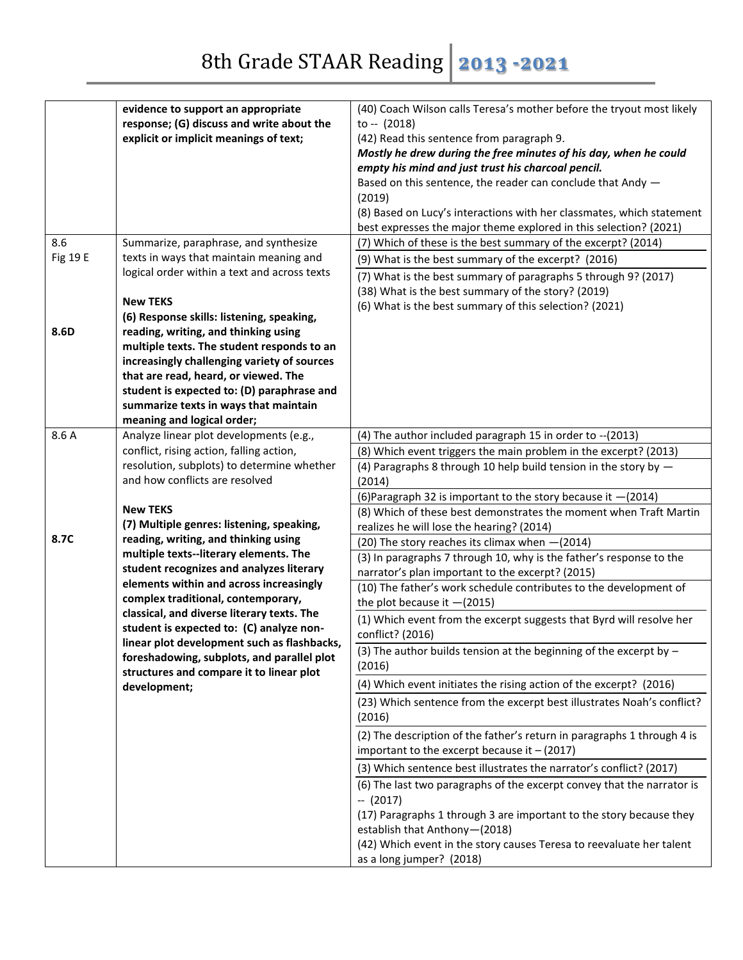| 8.6             | evidence to support an appropriate<br>response; (G) discuss and write about the<br>explicit or implicit meanings of text;<br>Summarize, paraphrase, and synthesize                                                                                                                             | (40) Coach Wilson calls Teresa's mother before the tryout most likely<br>to $-$ (2018)<br>(42) Read this sentence from paragraph 9.<br>Mostly he drew during the free minutes of his day, when he could<br>empty his mind and just trust his charcoal pencil.<br>Based on this sentence, the reader can conclude that Andy -<br>(2019)<br>(8) Based on Lucy's interactions with her classmates, which statement<br>best expresses the major theme explored in this selection? (2021)<br>(7) Which of these is the best summary of the excerpt? (2014) |
|-----------------|------------------------------------------------------------------------------------------------------------------------------------------------------------------------------------------------------------------------------------------------------------------------------------------------|-------------------------------------------------------------------------------------------------------------------------------------------------------------------------------------------------------------------------------------------------------------------------------------------------------------------------------------------------------------------------------------------------------------------------------------------------------------------------------------------------------------------------------------------------------|
| <b>Fig 19 E</b> | texts in ways that maintain meaning and<br>logical order within a text and across texts<br><b>New TEKS</b><br>(6) Response skills: listening, speaking,                                                                                                                                        | (9) What is the best summary of the excerpt? (2016)<br>(7) What is the best summary of paragraphs 5 through 9? (2017)<br>(38) What is the best summary of the story? (2019)<br>(6) What is the best summary of this selection? (2021)                                                                                                                                                                                                                                                                                                                 |
| 8.6D            | reading, writing, and thinking using<br>multiple texts. The student responds to an<br>increasingly challenging variety of sources<br>that are read, heard, or viewed. The<br>student is expected to: (D) paraphrase and<br>summarize texts in ways that maintain<br>meaning and logical order; |                                                                                                                                                                                                                                                                                                                                                                                                                                                                                                                                                       |
| 8.6 A           | Analyze linear plot developments (e.g.,<br>conflict, rising action, falling action,<br>resolution, subplots) to determine whether                                                                                                                                                              | (4) The author included paragraph 15 in order to -- (2013)<br>(8) Which event triggers the main problem in the excerpt? (2013)                                                                                                                                                                                                                                                                                                                                                                                                                        |
|                 | and how conflicts are resolved                                                                                                                                                                                                                                                                 | (4) Paragraphs 8 through 10 help build tension in the story by $-$<br>(2014)                                                                                                                                                                                                                                                                                                                                                                                                                                                                          |
|                 | <b>New TEKS</b><br>(7) Multiple genres: listening, speaking,                                                                                                                                                                                                                                   | (6) Paragraph 32 is important to the story because it -(2014)<br>(8) Which of these best demonstrates the moment when Traft Martin<br>realizes he will lose the hearing? (2014)                                                                                                                                                                                                                                                                                                                                                                       |
| 8.7C            | reading, writing, and thinking using<br>multiple texts--literary elements. The                                                                                                                                                                                                                 | (20) The story reaches its climax when - (2014)<br>(3) In paragraphs 7 through 10, why is the father's response to the                                                                                                                                                                                                                                                                                                                                                                                                                                |
|                 | student recognizes and analyzes literary<br>elements within and across increasingly                                                                                                                                                                                                            | narrator's plan important to the excerpt? (2015)                                                                                                                                                                                                                                                                                                                                                                                                                                                                                                      |
|                 | complex traditional, contemporary,                                                                                                                                                                                                                                                             | (10) The father's work schedule contributes to the development of<br>the plot because it $-(2015)$                                                                                                                                                                                                                                                                                                                                                                                                                                                    |
|                 | classical, and diverse literary texts. The<br>student is expected to: (C) analyze non-                                                                                                                                                                                                         | (1) Which event from the excerpt suggests that Byrd will resolve her<br>conflict? (2016)                                                                                                                                                                                                                                                                                                                                                                                                                                                              |
|                 | linear plot development such as flashbacks,<br>foreshadowing, subplots, and parallel plot<br>structures and compare it to linear plot                                                                                                                                                          | (3) The author builds tension at the beginning of the excerpt by $-$<br>(2016)                                                                                                                                                                                                                                                                                                                                                                                                                                                                        |
|                 | development;                                                                                                                                                                                                                                                                                   | (4) Which event initiates the rising action of the excerpt? (2016)                                                                                                                                                                                                                                                                                                                                                                                                                                                                                    |
|                 |                                                                                                                                                                                                                                                                                                | (23) Which sentence from the excerpt best illustrates Noah's conflict?<br>(2016)                                                                                                                                                                                                                                                                                                                                                                                                                                                                      |
|                 |                                                                                                                                                                                                                                                                                                | (2) The description of the father's return in paragraphs 1 through 4 is<br>important to the excerpt because it $-$ (2017)                                                                                                                                                                                                                                                                                                                                                                                                                             |
|                 |                                                                                                                                                                                                                                                                                                | (3) Which sentence best illustrates the narrator's conflict? (2017)<br>(6) The last two paragraphs of the excerpt convey that the narrator is                                                                                                                                                                                                                                                                                                                                                                                                         |
|                 |                                                                                                                                                                                                                                                                                                | $- (2017)$<br>(17) Paragraphs 1 through 3 are important to the story because they<br>establish that Anthony-(2018)<br>(42) Which event in the story causes Teresa to reevaluate her talent<br>as a long jumper? (2018)                                                                                                                                                                                                                                                                                                                                |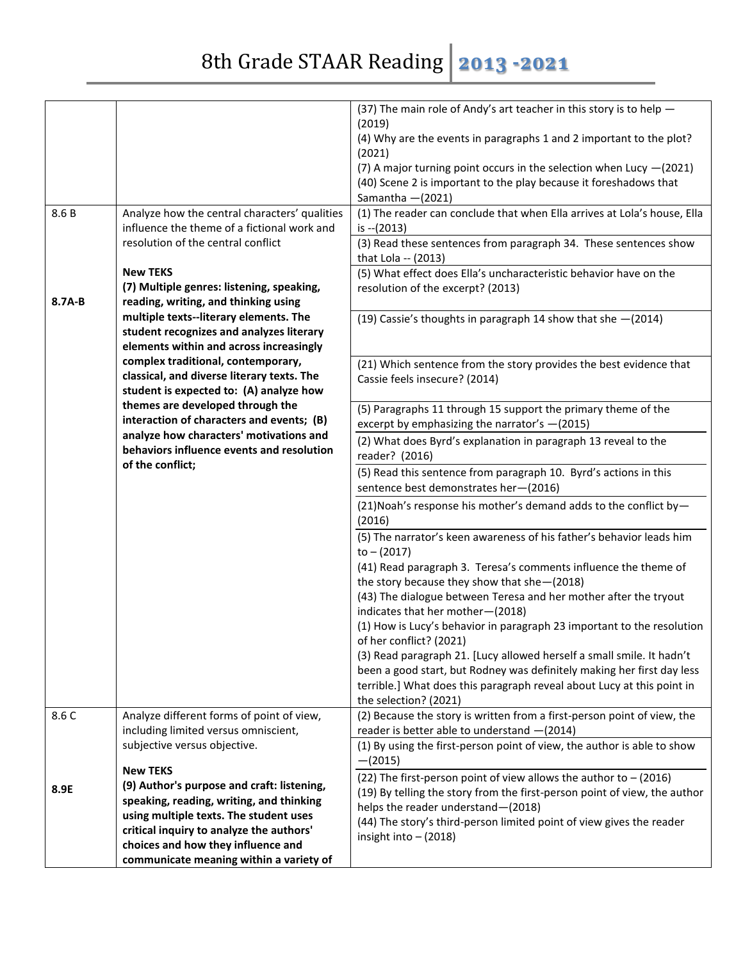|        |                                                                                       | (37) The main role of Andy's art teacher in this story is to help -                             |
|--------|---------------------------------------------------------------------------------------|-------------------------------------------------------------------------------------------------|
|        |                                                                                       | (2019)                                                                                          |
|        |                                                                                       | (4) Why are the events in paragraphs 1 and 2 important to the plot?<br>(2021)                   |
|        |                                                                                       | (7) A major turning point occurs in the selection when Lucy $-(2021)$                           |
|        |                                                                                       | (40) Scene 2 is important to the play because it foreshadows that                               |
|        |                                                                                       | Samantha $-(2021)$                                                                              |
| 8.6B   | Analyze how the central characters' qualities                                         | (1) The reader can conclude that when Ella arrives at Lola's house, Ella                        |
|        | influence the theme of a fictional work and                                           | is $-(2013)$                                                                                    |
|        | resolution of the central conflict                                                    | (3) Read these sentences from paragraph 34. These sentences show                                |
|        |                                                                                       | that Lola -- (2013)                                                                             |
|        | <b>New TEKS</b>                                                                       | (5) What effect does Ella's uncharacteristic behavior have on the                               |
|        | (7) Multiple genres: listening, speaking,                                             | resolution of the excerpt? (2013)                                                               |
| 8.7A-B | reading, writing, and thinking using                                                  |                                                                                                 |
|        | multiple texts--literary elements. The                                                | (19) Cassie's thoughts in paragraph 14 show that she $-(2014)$                                  |
|        | student recognizes and analyzes literary                                              |                                                                                                 |
|        | elements within and across increasingly                                               |                                                                                                 |
|        | complex traditional, contemporary,                                                    | (21) Which sentence from the story provides the best evidence that                              |
|        | classical, and diverse literary texts. The<br>student is expected to: (A) analyze how | Cassie feels insecure? (2014)                                                                   |
|        | themes are developed through the                                                      |                                                                                                 |
|        | interaction of characters and events; (B)                                             | (5) Paragraphs 11 through 15 support the primary theme of the                                   |
|        | analyze how characters' motivations and                                               | excerpt by emphasizing the narrator's -(2015)                                                   |
|        | behaviors influence events and resolution                                             | (2) What does Byrd's explanation in paragraph 13 reveal to the                                  |
|        | of the conflict;                                                                      | reader? (2016)                                                                                  |
|        |                                                                                       | (5) Read this sentence from paragraph 10. Byrd's actions in this                                |
|        |                                                                                       | sentence best demonstrates her-(2016)                                                           |
|        |                                                                                       | $(21)$ Noah's response his mother's demand adds to the conflict by-<br>(2016)                   |
|        |                                                                                       | (5) The narrator's keen awareness of his father's behavior leads him<br>$to - (2017)$           |
|        |                                                                                       | (41) Read paragraph 3. Teresa's comments influence the theme of                                 |
|        |                                                                                       | the story because they show that she-(2018)                                                     |
|        |                                                                                       | (43) The dialogue between Teresa and her mother after the tryout                                |
|        |                                                                                       | indicates that her mother-(2018)                                                                |
|        |                                                                                       | (1) How is Lucy's behavior in paragraph 23 important to the resolution                          |
|        |                                                                                       | of her conflict? (2021)                                                                         |
|        |                                                                                       | (3) Read paragraph 21. [Lucy allowed herself a small smile. It hadn't                           |
|        |                                                                                       | been a good start, but Rodney was definitely making her first day less                          |
|        |                                                                                       | terrible.] What does this paragraph reveal about Lucy at this point in<br>the selection? (2021) |
| 8.6 C  | Analyze different forms of point of view,                                             | (2) Because the story is written from a first-person point of view, the                         |
|        | including limited versus omniscient,                                                  | reader is better able to understand -(2014)                                                     |
|        | subjective versus objective.                                                          | (1) By using the first-person point of view, the author is able to show                         |
|        | <b>New TEKS</b>                                                                       | $-(2015)$                                                                                       |
|        | (9) Author's purpose and craft: listening,                                            | (22) The first-person point of view allows the author to $-$ (2016)                             |
| 8.9E   | speaking, reading, writing, and thinking                                              | (19) By telling the story from the first-person point of view, the author                       |
|        | using multiple texts. The student uses                                                | helps the reader understand-(2018)                                                              |
|        | critical inquiry to analyze the authors'                                              | (44) The story's third-person limited point of view gives the reader                            |
|        | choices and how they influence and                                                    | insight into $-$ (2018)                                                                         |
|        | communicate meaning within a variety of                                               |                                                                                                 |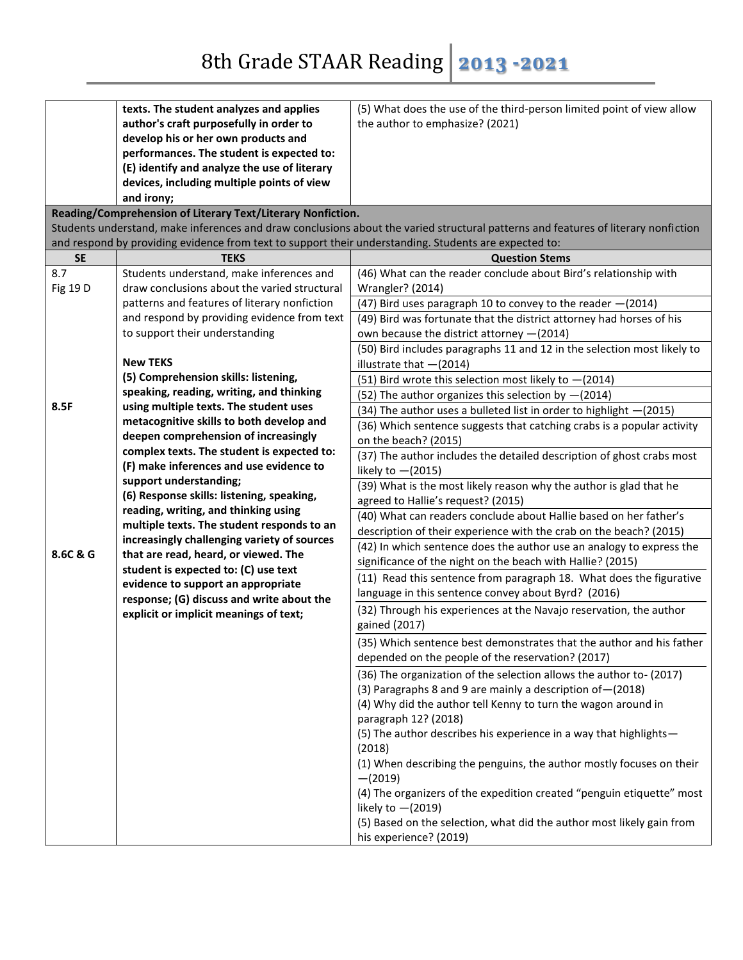|           | texts. The student analyzes and applies                                                               | (5) What does the use of the third-person limited point of view allow                                                              |
|-----------|-------------------------------------------------------------------------------------------------------|------------------------------------------------------------------------------------------------------------------------------------|
|           | author's craft purposefully in order to                                                               | the author to emphasize? (2021)                                                                                                    |
|           | develop his or her own products and                                                                   |                                                                                                                                    |
|           | performances. The student is expected to:                                                             |                                                                                                                                    |
|           | (E) identify and analyze the use of literary                                                          |                                                                                                                                    |
|           | devices, including multiple points of view                                                            |                                                                                                                                    |
|           | and irony;                                                                                            |                                                                                                                                    |
|           | Reading/Comprehension of Literary Text/Literary Nonfiction.                                           |                                                                                                                                    |
|           |                                                                                                       | Students understand, make inferences and draw conclusions about the varied structural patterns and features of literary nonfiction |
|           | and respond by providing evidence from text to support their understanding. Students are expected to: |                                                                                                                                    |
| <b>SE</b> | <b>TEKS</b>                                                                                           | <b>Question Stems</b>                                                                                                              |
| 8.7       | Students understand, make inferences and                                                              | (46) What can the reader conclude about Bird's relationship with                                                                   |
| Fig 19 D  | draw conclusions about the varied structural                                                          | Wrangler? (2014)                                                                                                                   |
|           | patterns and features of literary nonfiction                                                          | (47) Bird uses paragraph 10 to convey to the reader - (2014)                                                                       |
|           | and respond by providing evidence from text                                                           | (49) Bird was fortunate that the district attorney had horses of his                                                               |
|           | to support their understanding                                                                        | own because the district attorney -(2014)                                                                                          |
|           |                                                                                                       | (50) Bird includes paragraphs 11 and 12 in the selection most likely to                                                            |
|           | <b>New TEKS</b>                                                                                       | illustrate that $-(2014)$                                                                                                          |
|           | (5) Comprehension skills: listening,                                                                  | (51) Bird wrote this selection most likely to $-(2014)$                                                                            |
|           | speaking, reading, writing, and thinking                                                              | (52) The author organizes this selection by $-(2014)$                                                                              |
| 8.5F      | using multiple texts. The student uses                                                                | (34) The author uses a bulleted list in order to highlight -(2015)                                                                 |
|           | metacognitive skills to both develop and                                                              | (36) Which sentence suggests that catching crabs is a popular activity                                                             |
|           | deepen comprehension of increasingly                                                                  | on the beach? (2015)                                                                                                               |
|           | complex texts. The student is expected to:                                                            | (37) The author includes the detailed description of ghost crabs most                                                              |
|           | (F) make inferences and use evidence to                                                               | likely to $-(2015)$                                                                                                                |
|           | support understanding;                                                                                | (39) What is the most likely reason why the author is glad that he                                                                 |
|           | (6) Response skills: listening, speaking,                                                             | agreed to Hallie's request? (2015)                                                                                                 |
|           | reading, writing, and thinking using<br>multiple texts. The student responds to an                    | (40) What can readers conclude about Hallie based on her father's                                                                  |
|           | increasingly challenging variety of sources                                                           | description of their experience with the crab on the beach? (2015)                                                                 |
| 8.6C & G  | that are read, heard, or viewed. The                                                                  | (42) In which sentence does the author use an analogy to express the                                                               |
|           | student is expected to: (C) use text                                                                  | significance of the night on the beach with Hallie? (2015)                                                                         |
|           | evidence to support an appropriate                                                                    | (11) Read this sentence from paragraph 18. What does the figurative                                                                |
|           | response; (G) discuss and write about the                                                             | language in this sentence convey about Byrd? (2016)                                                                                |
|           | explicit or implicit meanings of text;                                                                | (32) Through his experiences at the Navajo reservation, the author                                                                 |
|           |                                                                                                       | gained (2017)                                                                                                                      |
|           |                                                                                                       | (35) Which sentence best demonstrates that the author and his father                                                               |
|           |                                                                                                       | depended on the people of the reservation? (2017)                                                                                  |
|           |                                                                                                       | (36) The organization of the selection allows the author to- (2017)                                                                |
|           |                                                                                                       | (3) Paragraphs 8 and 9 are mainly a description of - (2018)                                                                        |
|           |                                                                                                       | (4) Why did the author tell Kenny to turn the wagon around in                                                                      |
|           |                                                                                                       | paragraph 12? (2018)                                                                                                               |
|           |                                                                                                       | (5) The author describes his experience in a way that highlights-                                                                  |
|           |                                                                                                       | (2018)                                                                                                                             |
|           |                                                                                                       | (1) When describing the penguins, the author mostly focuses on their                                                               |
|           |                                                                                                       | $-(2019)$                                                                                                                          |
|           |                                                                                                       | (4) The organizers of the expedition created "penguin etiquette" most                                                              |
|           |                                                                                                       | likely to $-(2019)$                                                                                                                |
|           |                                                                                                       | (5) Based on the selection, what did the author most likely gain from                                                              |
|           |                                                                                                       | his experience? (2019)                                                                                                             |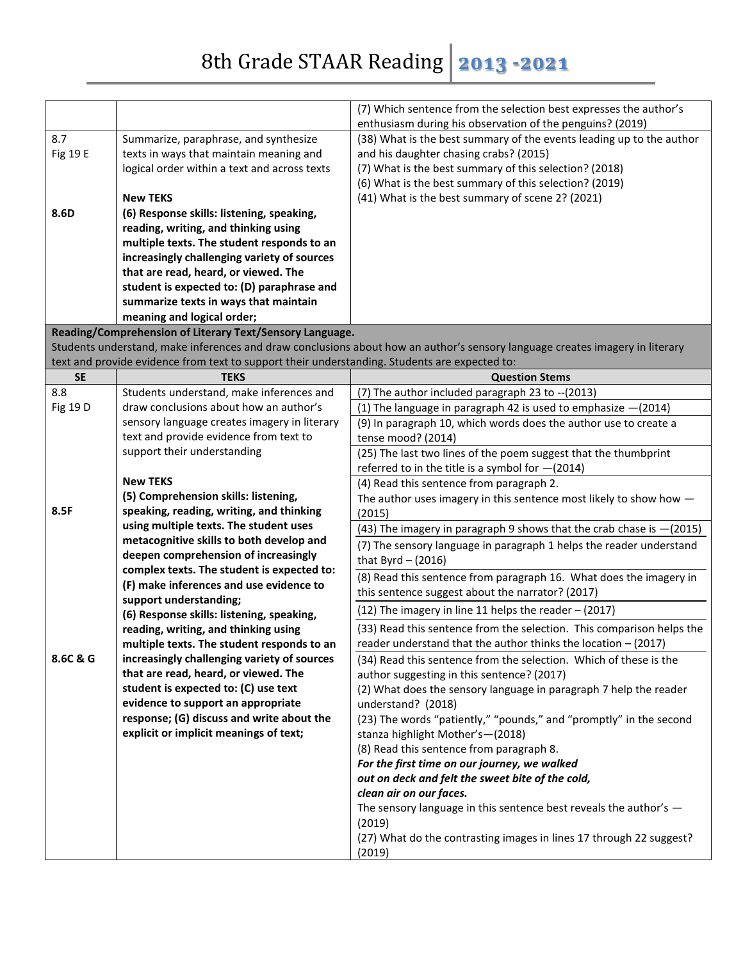|                  |                                                                                               | (7) Which sentence from the selection best expresses the author's<br>enthusiasm during his observation of the penguins? (2019)      |
|------------------|-----------------------------------------------------------------------------------------------|-------------------------------------------------------------------------------------------------------------------------------------|
| 8.7              | Summarize, paraphrase, and synthesize                                                         | (38) What is the best summary of the events leading up to the author                                                                |
| Fig 19 E         | texts in ways that maintain meaning and                                                       | and his daughter chasing crabs? (2015)                                                                                              |
|                  | logical order within a text and across texts                                                  | (7) What is the best summary of this selection? (2018)                                                                              |
|                  |                                                                                               | (6) What is the best summary of this selection? (2019)                                                                              |
|                  | <b>New TEKS</b>                                                                               | (41) What is the best summary of scene 2? (2021)                                                                                    |
| 8.6D             | (6) Response skills: listening, speaking,                                                     |                                                                                                                                     |
|                  | reading, writing, and thinking using                                                          |                                                                                                                                     |
|                  | multiple texts. The student responds to an                                                    |                                                                                                                                     |
|                  | increasingly challenging variety of sources                                                   |                                                                                                                                     |
|                  | that are read, heard, or viewed. The                                                          |                                                                                                                                     |
|                  | student is expected to: (D) paraphrase and                                                    |                                                                                                                                     |
|                  | summarize texts in ways that maintain                                                         |                                                                                                                                     |
|                  | meaning and logical order;                                                                    |                                                                                                                                     |
|                  | Reading/Comprehension of Literary Text/Sensory Language.                                      |                                                                                                                                     |
|                  |                                                                                               | Students understand, make inferences and draw conclusions about how an author's sensory language creates imagery in literary        |
|                  | text and provide evidence from text to support their understanding. Students are expected to: |                                                                                                                                     |
| <b>SE</b><br>8.8 | <b>TEKS</b>                                                                                   | <b>Question Stems</b>                                                                                                               |
| Fig 19 D         | Students understand, make inferences and<br>draw conclusions about how an author's            | (7) The author included paragraph 23 to -- (2013)                                                                                   |
|                  | sensory language creates imagery in literary                                                  | (1) The language in paragraph 42 is used to emphasize $-(2014)$<br>(9) In paragraph 10, which words does the author use to create a |
|                  | text and provide evidence from text to                                                        | tense mood? (2014)                                                                                                                  |
|                  | support their understanding                                                                   | (25) The last two lines of the poem suggest that the thumbprint                                                                     |
|                  |                                                                                               | referred to in the title is a symbol for $-(2014)$                                                                                  |
|                  | <b>New TEKS</b>                                                                               | (4) Read this sentence from paragraph 2.                                                                                            |
|                  | (5) Comprehension skills: listening,                                                          | The author uses imagery in this sentence most likely to show how $-$                                                                |
| 8.5F             | speaking, reading, writing, and thinking                                                      | (2015)                                                                                                                              |
|                  | using multiple texts. The student uses                                                        | (43) The imagery in paragraph 9 shows that the crab chase is -(2015)                                                                |
|                  | metacognitive skills to both develop and                                                      | (7) The sensory language in paragraph 1 helps the reader understand                                                                 |
|                  | deepen comprehension of increasingly                                                          | that Byrd $-$ (2016)                                                                                                                |
|                  | complex texts. The student is expected to:                                                    | (8) Read this sentence from paragraph 16. What does the imagery in                                                                  |
|                  | (F) make inferences and use evidence to                                                       | this sentence suggest about the narrator? (2017)                                                                                    |
|                  | support understanding;                                                                        |                                                                                                                                     |
|                  | (6) Response skills: listening, speaking,                                                     | (12) The imagery in line 11 helps the reader - (2017)                                                                               |
|                  | reading, writing, and thinking using                                                          | (33) Read this sentence from the selection. This comparison helps the                                                               |
|                  | multiple texts. The student responds to an                                                    | reader understand that the author thinks the location $-$ (2017)                                                                    |
| 8.6C & G         | increasingly challenging variety of sources                                                   | (34) Read this sentence from the selection. Which of these is the                                                                   |
|                  | that are read, heard, or viewed. The                                                          | author suggesting in this sentence? (2017)                                                                                          |
|                  | student is expected to: (C) use text                                                          | (2) What does the sensory language in paragraph 7 help the reader                                                                   |
|                  | evidence to support an appropriate<br>response; (G) discuss and write about the               | understand? (2018)                                                                                                                  |
|                  | explicit or implicit meanings of text;                                                        | (23) The words "patiently," "pounds," and "promptly" in the second                                                                  |
|                  |                                                                                               | stanza highlight Mother's-(2018)                                                                                                    |
|                  |                                                                                               | (8) Read this sentence from paragraph 8.<br>For the first time on our journey, we walked                                            |
|                  |                                                                                               | out on deck and felt the sweet bite of the cold,                                                                                    |
|                  |                                                                                               | clean air on our faces.                                                                                                             |
|                  |                                                                                               | The sensory language in this sentence best reveals the author's $-$                                                                 |
|                  |                                                                                               | (2019)                                                                                                                              |
|                  |                                                                                               | (27) What do the contrasting images in lines 17 through 22 suggest?                                                                 |
|                  |                                                                                               | (2019)                                                                                                                              |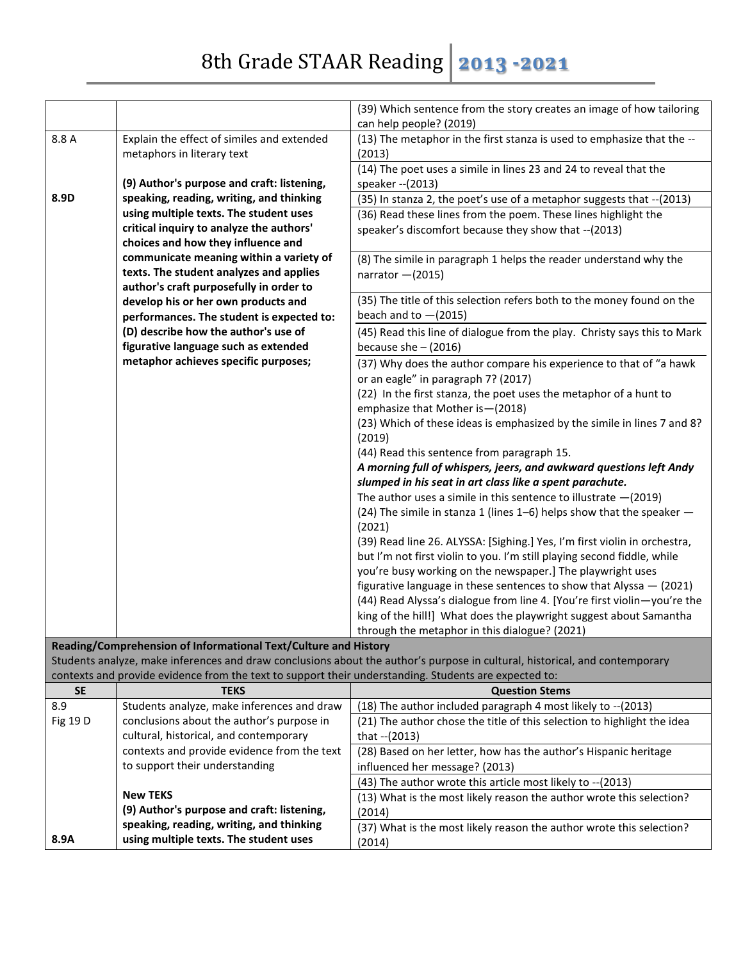|           |                                                                                                       | (39) Which sentence from the story creates an image of how tailoring<br>can help people? (2019)                             |
|-----------|-------------------------------------------------------------------------------------------------------|-----------------------------------------------------------------------------------------------------------------------------|
| 8.8 A     | Explain the effect of similes and extended                                                            | (13) The metaphor in the first stanza is used to emphasize that the --                                                      |
|           | metaphors in literary text                                                                            | (2013)                                                                                                                      |
|           |                                                                                                       | (14) The poet uses a simile in lines 23 and 24 to reveal that the                                                           |
|           | (9) Author's purpose and craft: listening,                                                            | speaker -- (2013)                                                                                                           |
| 8.9D      | speaking, reading, writing, and thinking                                                              | (35) In stanza 2, the poet's use of a metaphor suggests that -- (2013)                                                      |
|           | using multiple texts. The student uses                                                                | (36) Read these lines from the poem. These lines highlight the                                                              |
|           | critical inquiry to analyze the authors'                                                              | speaker's discomfort because they show that --(2013)                                                                        |
|           | choices and how they influence and                                                                    |                                                                                                                             |
|           | communicate meaning within a variety of                                                               | (8) The simile in paragraph 1 helps the reader understand why the                                                           |
|           | texts. The student analyzes and applies                                                               | narrator $-(2015)$                                                                                                          |
|           | author's craft purposefully in order to                                                               |                                                                                                                             |
|           | develop his or her own products and                                                                   | (35) The title of this selection refers both to the money found on the                                                      |
|           | performances. The student is expected to:                                                             | beach and to $-(2015)$                                                                                                      |
|           | (D) describe how the author's use of                                                                  | (45) Read this line of dialogue from the play. Christy says this to Mark                                                    |
|           | figurative language such as extended                                                                  | because she $-$ (2016)                                                                                                      |
|           | metaphor achieves specific purposes;                                                                  | (37) Why does the author compare his experience to that of "a hawk                                                          |
|           |                                                                                                       | or an eagle" in paragraph 7? (2017)                                                                                         |
|           |                                                                                                       | (22) In the first stanza, the poet uses the metaphor of a hunt to                                                           |
|           |                                                                                                       | emphasize that Mother is - (2018)                                                                                           |
|           |                                                                                                       | (23) Which of these ideas is emphasized by the simile in lines 7 and 8?<br>(2019)                                           |
|           |                                                                                                       | (44) Read this sentence from paragraph 15.                                                                                  |
|           |                                                                                                       | A morning full of whispers, jeers, and awkward questions left Andy                                                          |
|           |                                                                                                       | slumped in his seat in art class like a spent parachute.                                                                    |
|           |                                                                                                       | The author uses a simile in this sentence to illustrate $-(2019)$                                                           |
|           |                                                                                                       | (24) The simile in stanza 1 (lines 1-6) helps show that the speaker -                                                       |
|           |                                                                                                       | (2021)                                                                                                                      |
|           |                                                                                                       | (39) Read line 26. ALYSSA: [Sighing.] Yes, I'm first violin in orchestra,                                                   |
|           |                                                                                                       | but I'm not first violin to you. I'm still playing second fiddle, while                                                     |
|           |                                                                                                       | you're busy working on the newspaper.] The playwright uses                                                                  |
|           |                                                                                                       | figurative language in these sentences to show that Alyssa $-$ (2021)                                                       |
|           |                                                                                                       | (44) Read Alyssa's dialogue from line 4. [You're first violin-you're the                                                    |
|           |                                                                                                       | king of the hill!] What does the playwright suggest about Samantha                                                          |
|           |                                                                                                       | through the metaphor in this dialogue? (2021)                                                                               |
|           | Reading/Comprehension of Informational Text/Culture and History                                       |                                                                                                                             |
|           |                                                                                                       | Students analyze, make inferences and draw conclusions about the author's purpose in cultural, historical, and contemporary |
|           | contexts and provide evidence from the text to support their understanding. Students are expected to: |                                                                                                                             |
| <b>SE</b> | <b>TEKS</b>                                                                                           | <b>Question Stems</b><br>(18) The author included paragraph 4 most likely to -- (2013)                                      |
| 8.9       | Students analyze, make inferences and draw<br>conclusions about the author's purpose in               |                                                                                                                             |
| Fig 19 D  | cultural, historical, and contemporary                                                                | (21) The author chose the title of this selection to highlight the idea<br>that -- (2013)                                   |
|           | contexts and provide evidence from the text                                                           | (28) Based on her letter, how has the author's Hispanic heritage                                                            |
|           | to support their understanding                                                                        | influenced her message? (2013)                                                                                              |
|           |                                                                                                       | (43) The author wrote this article most likely to -- (2013)                                                                 |
|           | <b>New TEKS</b>                                                                                       | (13) What is the most likely reason the author wrote this selection?                                                        |
|           | (9) Author's purpose and craft: listening,                                                            | (2014)                                                                                                                      |
|           | speaking, reading, writing, and thinking                                                              | (37) What is the most likely reason the author wrote this selection?                                                        |
| 8.9A      | using multiple texts. The student uses                                                                | (2014)                                                                                                                      |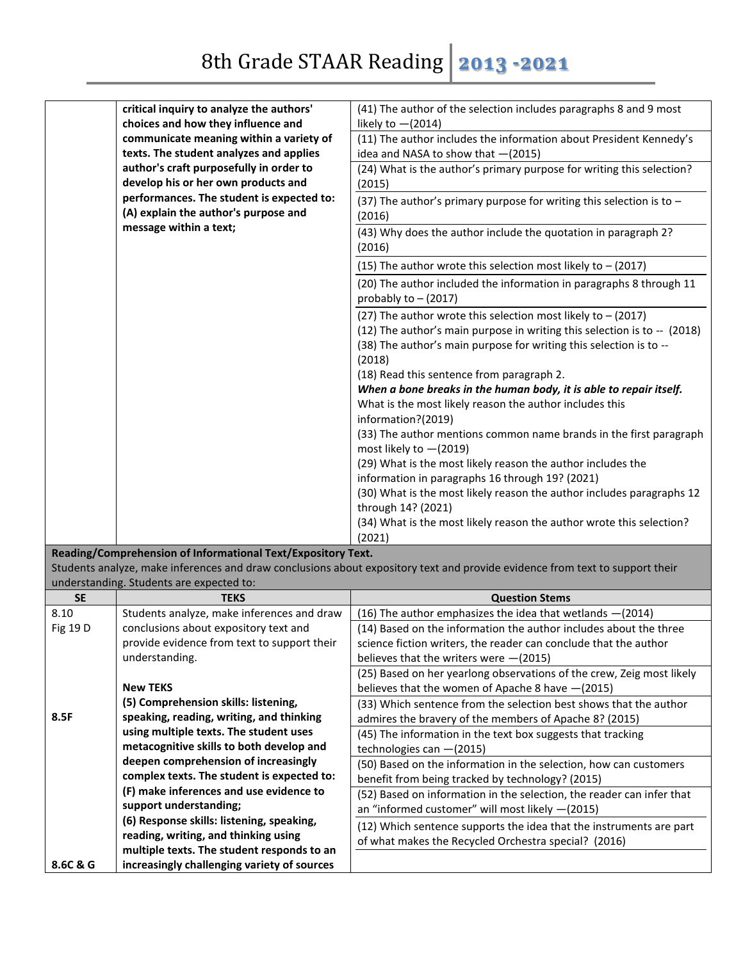|                 | critical inquiry to analyze the authors'                                             | (41) The author of the selection includes paragraphs 8 and 9 most                                                              |
|-----------------|--------------------------------------------------------------------------------------|--------------------------------------------------------------------------------------------------------------------------------|
|                 | choices and how they influence and                                                   | likely to $-(2014)$                                                                                                            |
|                 | communicate meaning within a variety of                                              | (11) The author includes the information about President Kennedy's                                                             |
|                 | texts. The student analyzes and applies                                              | idea and NASA to show that -(2015)                                                                                             |
|                 | author's craft purposefully in order to                                              | (24) What is the author's primary purpose for writing this selection?                                                          |
|                 | develop his or her own products and                                                  | (2015)                                                                                                                         |
|                 | performances. The student is expected to:                                            | (37) The author's primary purpose for writing this selection is to $-$                                                         |
|                 | (A) explain the author's purpose and                                                 | (2016)                                                                                                                         |
|                 | message within a text;                                                               | (43) Why does the author include the quotation in paragraph 2?                                                                 |
|                 |                                                                                      | (2016)                                                                                                                         |
|                 |                                                                                      | (15) The author wrote this selection most likely to - (2017)                                                                   |
|                 |                                                                                      | (20) The author included the information in paragraphs 8 through 11                                                            |
|                 |                                                                                      | probably to $-$ (2017)                                                                                                         |
|                 |                                                                                      | (27) The author wrote this selection most likely to $-$ (2017)                                                                 |
|                 |                                                                                      | (12) The author's main purpose in writing this selection is to -- (2018)                                                       |
|                 |                                                                                      | (38) The author's main purpose for writing this selection is to --<br>(2018)                                                   |
|                 |                                                                                      | (18) Read this sentence from paragraph 2.                                                                                      |
|                 |                                                                                      | When a bone breaks in the human body, it is able to repair itself.                                                             |
|                 |                                                                                      | What is the most likely reason the author includes this                                                                        |
|                 |                                                                                      | information?(2019)                                                                                                             |
|                 |                                                                                      | (33) The author mentions common name brands in the first paragraph                                                             |
|                 |                                                                                      | most likely to $-(2019)$                                                                                                       |
|                 |                                                                                      | (29) What is the most likely reason the author includes the                                                                    |
|                 |                                                                                      | information in paragraphs 16 through 19? (2021)                                                                                |
|                 |                                                                                      | (30) What is the most likely reason the author includes paragraphs 12                                                          |
|                 |                                                                                      | through 14? (2021)                                                                                                             |
|                 |                                                                                      | (34) What is the most likely reason the author wrote this selection?                                                           |
|                 |                                                                                      | (2021)                                                                                                                         |
|                 | Reading/Comprehension of Informational Text/Expository Text.                         |                                                                                                                                |
|                 |                                                                                      | Students analyze, make inferences and draw conclusions about expository text and provide evidence from text to support their   |
|                 | understanding. Students are expected to:                                             |                                                                                                                                |
| <b>SE</b>       | <b>TEKS</b>                                                                          | <b>Question Stems</b>                                                                                                          |
| 8.10            | Students analyze, make inferences and draw                                           | (16) The author emphasizes the idea that wetlands -(2014)<br>(14) Based on the information the author includes about the three |
| <b>Fig 19 D</b> | conclusions about expository text and<br>provide evidence from text to support their |                                                                                                                                |
|                 | understanding.                                                                       | science fiction writers, the reader can conclude that the author<br>believes that the writers were $-(2015)$                   |
|                 |                                                                                      | (25) Based on her yearlong observations of the crew, Zeig most likely                                                          |
|                 | <b>New TEKS</b>                                                                      | believes that the women of Apache 8 have $-(2015)$                                                                             |
|                 | (5) Comprehension skills: listening,                                                 | (33) Which sentence from the selection best shows that the author                                                              |
| 8.5F            | speaking, reading, writing, and thinking                                             | admires the bravery of the members of Apache 8? (2015)                                                                         |
|                 | using multiple texts. The student uses                                               | (45) The information in the text box suggests that tracking                                                                    |
|                 | metacognitive skills to both develop and                                             | technologies can -(2015)                                                                                                       |
|                 | deepen comprehension of increasingly                                                 | (50) Based on the information in the selection, how can customers                                                              |
|                 | complex texts. The student is expected to:                                           | benefit from being tracked by technology? (2015)                                                                               |
|                 | (F) make inferences and use evidence to                                              | (52) Based on information in the selection, the reader can infer that                                                          |

an "informed customer" will most likely —(2015)

of what makes the Recycled Orchestra special? (2016)

(12) Which sentence supports the idea that the instruments are part

**8.6C & G**

**support understanding;** 

**(6) Response skills: listening, speaking, reading, writing, and thinking using multiple texts. The student responds to an increasingly challenging variety of sources**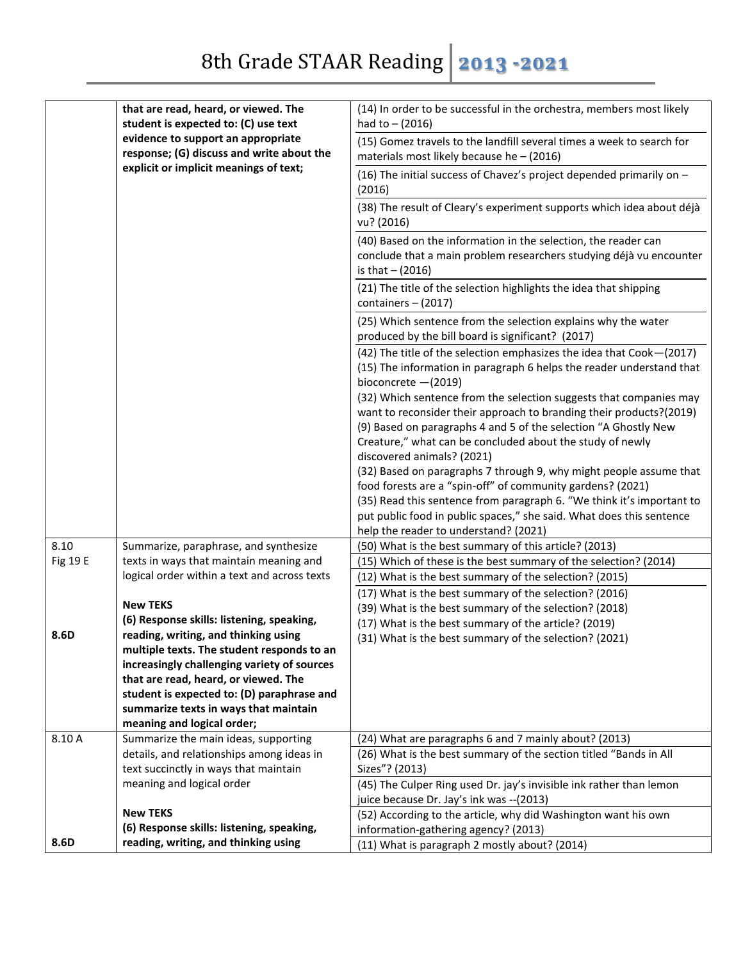|          | that are read, heard, or viewed. The<br>student is expected to: (C) use text    | (14) In order to be successful in the orchestra, members most likely<br>had to $- (2016)$                                                                                                                    |
|----------|---------------------------------------------------------------------------------|--------------------------------------------------------------------------------------------------------------------------------------------------------------------------------------------------------------|
|          | evidence to support an appropriate<br>response; (G) discuss and write about the | (15) Gomez travels to the landfill several times a week to search for<br>materials most likely because he $-$ (2016)                                                                                         |
|          | explicit or implicit meanings of text;                                          | (16) The initial success of Chavez's project depended primarily on -<br>(2016)                                                                                                                               |
|          |                                                                                 | (38) The result of Cleary's experiment supports which idea about déjà<br>vu? (2016)                                                                                                                          |
|          |                                                                                 | (40) Based on the information in the selection, the reader can<br>conclude that a main problem researchers studying déjà vu encounter<br>is that $- (2016)$                                                  |
|          |                                                                                 | (21) The title of the selection highlights the idea that shipping<br>containers $-$ (2017)                                                                                                                   |
|          |                                                                                 | (25) Which sentence from the selection explains why the water<br>produced by the bill board is significant? (2017)                                                                                           |
|          |                                                                                 | (42) The title of the selection emphasizes the idea that Cook-(2017)<br>(15) The information in paragraph 6 helps the reader understand that<br>bioconcrete $-(2019)$                                        |
|          |                                                                                 | (32) Which sentence from the selection suggests that companies may<br>want to reconsider their approach to branding their products?(2019)<br>(9) Based on paragraphs 4 and 5 of the selection "A Ghostly New |
|          |                                                                                 | Creature," what can be concluded about the study of newly<br>discovered animals? (2021)                                                                                                                      |
|          |                                                                                 | (32) Based on paragraphs 7 through 9, why might people assume that<br>food forests are a "spin-off" of community gardens? (2021)                                                                             |
|          |                                                                                 | (35) Read this sentence from paragraph 6. "We think it's important to<br>put public food in public spaces," she said. What does this sentence                                                                |
|          |                                                                                 | help the reader to understand? (2021)                                                                                                                                                                        |
| 8.10     | Summarize, paraphrase, and synthesize                                           | (50) What is the best summary of this article? (2013)                                                                                                                                                        |
| Fig 19 E | texts in ways that maintain meaning and                                         | (15) Which of these is the best summary of the selection? (2014)                                                                                                                                             |
|          | logical order within a text and across texts                                    | (12) What is the best summary of the selection? (2015)                                                                                                                                                       |
|          |                                                                                 | (17) What is the best summary of the selection? (2016)                                                                                                                                                       |
|          | <b>New TEKS</b>                                                                 | (39) What is the best summary of the selection? (2018)                                                                                                                                                       |
|          | (6) Response skills: listening, speaking,                                       | (17) What is the best summary of the article? (2019)                                                                                                                                                         |
| 8.6D     | reading. writing. and thinking using                                            | (31) What is the best summary of the selection? (2021)                                                                                                                                                       |
|          | multiple texts. The student responds to an                                      |                                                                                                                                                                                                              |
|          | increasingly challenging variety of sources                                     |                                                                                                                                                                                                              |
|          | that are read, heard, or viewed. The                                            |                                                                                                                                                                                                              |
|          | student is expected to: (D) paraphrase and                                      |                                                                                                                                                                                                              |
|          | summarize texts in ways that maintain                                           |                                                                                                                                                                                                              |
|          | meaning and logical order;                                                      |                                                                                                                                                                                                              |
| 8.10 A   | Summarize the main ideas, supporting                                            | (24) What are paragraphs 6 and 7 mainly about? (2013)                                                                                                                                                        |
|          | details, and relationships among ideas in                                       | (26) What is the best summary of the section titled "Bands in All                                                                                                                                            |
|          | text succinctly in ways that maintain                                           | Sizes"? (2013)                                                                                                                                                                                               |
|          | meaning and logical order                                                       | (45) The Culper Ring used Dr. jay's invisible ink rather than lemon                                                                                                                                          |
|          | <b>New TEKS</b>                                                                 | juice because Dr. Jay's ink was -- (2013)                                                                                                                                                                    |
|          | (6) Response skills: listening, speaking,                                       | (52) According to the article, why did Washington want his own                                                                                                                                               |
| 8.6D     | reading, writing, and thinking using                                            | information-gathering agency? (2013)                                                                                                                                                                         |
|          |                                                                                 | (11) What is paragraph 2 mostly about? (2014)                                                                                                                                                                |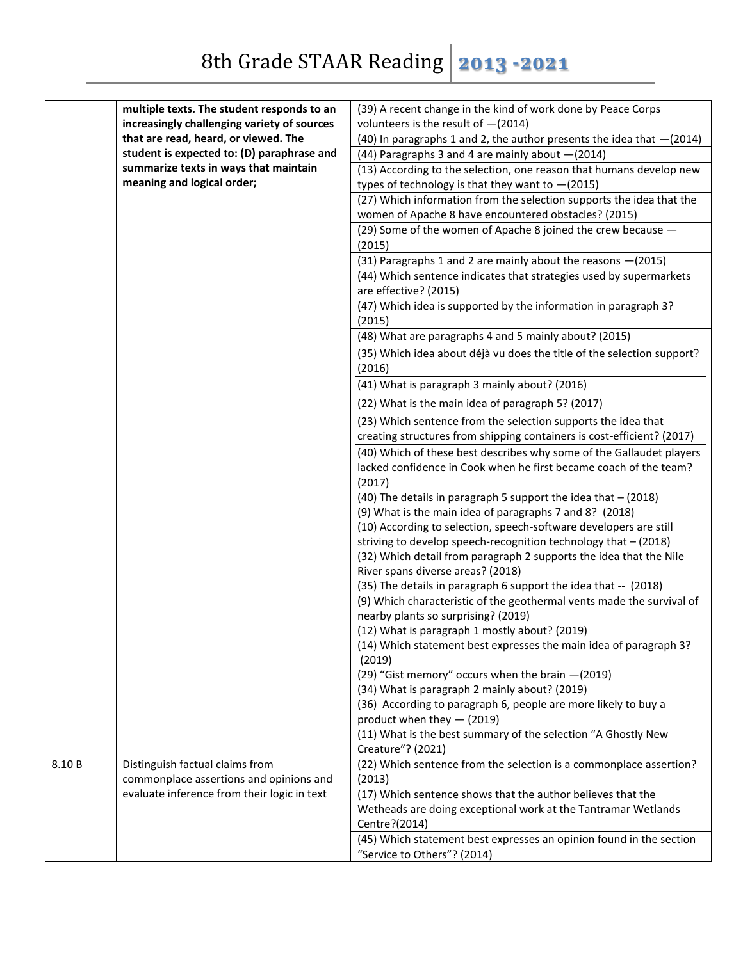|        | multiple texts. The student responds to an                                             | (39) A recent change in the kind of work done by Peace Corps                                                                          |
|--------|----------------------------------------------------------------------------------------|---------------------------------------------------------------------------------------------------------------------------------------|
|        | increasingly challenging variety of sources                                            | volunteers is the result of $-(2014)$                                                                                                 |
|        | that are read, heard, or viewed. The                                                   | (40) In paragraphs 1 and 2, the author presents the idea that $-(2014)$                                                               |
|        | student is expected to: (D) paraphrase and                                             | (44) Paragraphs 3 and 4 are mainly about -(2014)                                                                                      |
|        | summarize texts in ways that maintain                                                  | (13) According to the selection, one reason that humans develop new                                                                   |
|        | meaning and logical order;                                                             | types of technology is that they want to $-(2015)$                                                                                    |
|        |                                                                                        | (27) Which information from the selection supports the idea that the                                                                  |
|        |                                                                                        | women of Apache 8 have encountered obstacles? (2015)                                                                                  |
|        |                                                                                        | (29) Some of the women of Apache 8 joined the crew because -                                                                          |
|        |                                                                                        | (2015)                                                                                                                                |
|        |                                                                                        | (31) Paragraphs 1 and 2 are mainly about the reasons - (2015)                                                                         |
|        |                                                                                        | (44) Which sentence indicates that strategies used by supermarkets                                                                    |
|        |                                                                                        | are effective? (2015)                                                                                                                 |
|        |                                                                                        | (47) Which idea is supported by the information in paragraph 3?                                                                       |
|        |                                                                                        | (2015)                                                                                                                                |
|        |                                                                                        | (48) What are paragraphs 4 and 5 mainly about? (2015)                                                                                 |
|        |                                                                                        | (35) Which idea about déjà vu does the title of the selection support?                                                                |
|        |                                                                                        | (2016)                                                                                                                                |
|        |                                                                                        | (41) What is paragraph 3 mainly about? (2016)                                                                                         |
|        |                                                                                        | (22) What is the main idea of paragraph 5? (2017)                                                                                     |
|        |                                                                                        | (23) Which sentence from the selection supports the idea that                                                                         |
|        |                                                                                        | creating structures from shipping containers is cost-efficient? (2017)                                                                |
|        |                                                                                        | (40) Which of these best describes why some of the Gallaudet players                                                                  |
|        |                                                                                        | lacked confidence in Cook when he first became coach of the team?                                                                     |
|        |                                                                                        | (2017)                                                                                                                                |
|        |                                                                                        | (40) The details in paragraph 5 support the idea that $-$ (2018)                                                                      |
|        |                                                                                        | (9) What is the main idea of paragraphs 7 and 8? (2018)                                                                               |
|        |                                                                                        | (10) According to selection, speech-software developers are still                                                                     |
|        |                                                                                        | striving to develop speech-recognition technology that - (2018)<br>(32) Which detail from paragraph 2 supports the idea that the Nile |
|        |                                                                                        | River spans diverse areas? (2018)                                                                                                     |
|        |                                                                                        | (35) The details in paragraph 6 support the idea that -- (2018)                                                                       |
|        |                                                                                        | (9) Which characteristic of the geothermal vents made the survival of                                                                 |
|        |                                                                                        | nearby plants so surprising? (2019)                                                                                                   |
|        |                                                                                        | (12) What is paragraph 1 mostly about? (2019)                                                                                         |
|        |                                                                                        | (14) Which statement best expresses the main idea of paragraph 3?                                                                     |
|        |                                                                                        | (2019)                                                                                                                                |
|        |                                                                                        | (29) "Gist memory" occurs when the brain -(2019)                                                                                      |
|        |                                                                                        | (34) What is paragraph 2 mainly about? (2019)                                                                                         |
|        |                                                                                        | (36) According to paragraph 6, people are more likely to buy a                                                                        |
|        |                                                                                        | product when they $-$ (2019)                                                                                                          |
|        |                                                                                        | (11) What is the best summary of the selection "A Ghostly New                                                                         |
|        |                                                                                        | Creature"? (2021)                                                                                                                     |
| 8.10 B | Distinguish factual claims from                                                        | (22) Which sentence from the selection is a commonplace assertion?                                                                    |
|        | commonplace assertions and opinions and<br>evaluate inference from their logic in text | (2013)                                                                                                                                |
|        |                                                                                        | (17) Which sentence shows that the author believes that the<br>Wetheads are doing exceptional work at the Tantramar Wetlands          |
|        |                                                                                        | Centre?(2014)                                                                                                                         |
|        |                                                                                        | (45) Which statement best expresses an opinion found in the section                                                                   |
|        |                                                                                        | "Service to Others"? (2014)                                                                                                           |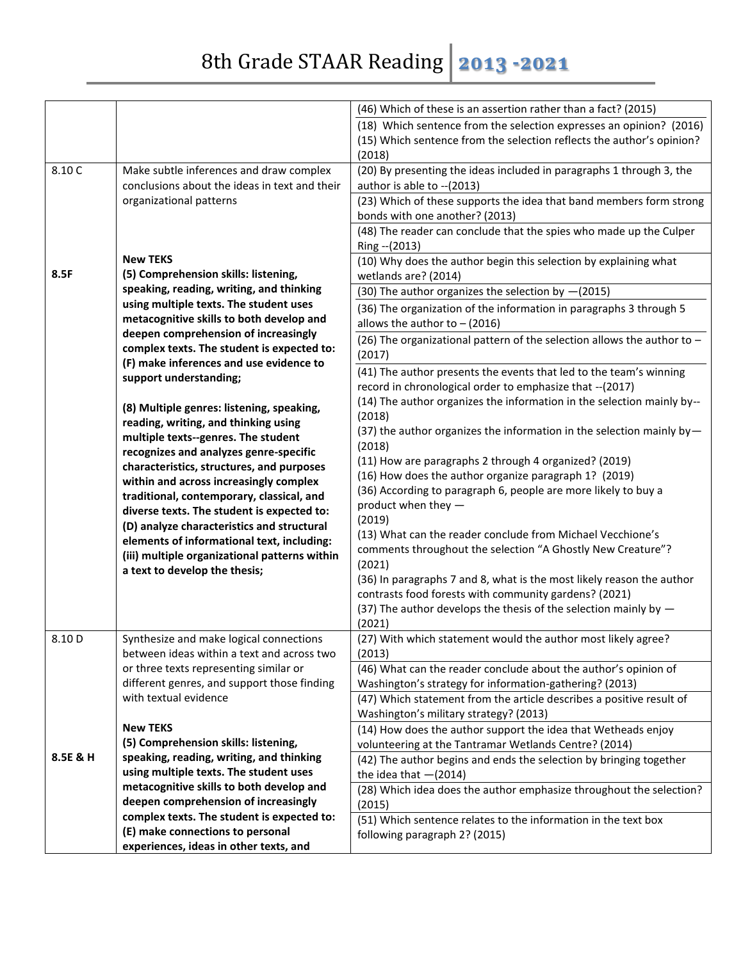|          |                                               | (46) Which of these is an assertion rather than a fact? (2015)                                                                 |
|----------|-----------------------------------------------|--------------------------------------------------------------------------------------------------------------------------------|
|          |                                               | (18) Which sentence from the selection expresses an opinion? (2016)                                                            |
|          |                                               | (15) Which sentence from the selection reflects the author's opinion?                                                          |
|          |                                               | (2018)                                                                                                                         |
| 8.10 C   | Make subtle inferences and draw complex       | (20) By presenting the ideas included in paragraphs 1 through 3, the                                                           |
|          | conclusions about the ideas in text and their | author is able to -- (2013)                                                                                                    |
|          | organizational patterns                       | (23) Which of these supports the idea that band members form strong                                                            |
|          |                                               | bonds with one another? (2013)                                                                                                 |
|          |                                               | (48) The reader can conclude that the spies who made up the Culper                                                             |
|          |                                               | Ring -- (2013)                                                                                                                 |
|          | <b>New TEKS</b>                               | (10) Why does the author begin this selection by explaining what                                                               |
| 8.5F     | (5) Comprehension skills: listening,          | wetlands are? (2014)                                                                                                           |
|          | speaking, reading, writing, and thinking      | (30) The author organizes the selection by $-(2015)$                                                                           |
|          | using multiple texts. The student uses        | (36) The organization of the information in paragraphs 3 through 5                                                             |
|          | metacognitive skills to both develop and      | allows the author to $-$ (2016)                                                                                                |
|          | deepen comprehension of increasingly          | (26) The organizational pattern of the selection allows the author to $-$                                                      |
|          | complex texts. The student is expected to:    | (2017)                                                                                                                         |
|          | (F) make inferences and use evidence to       | (41) The author presents the events that led to the team's winning                                                             |
|          | support understanding;                        | record in chronological order to emphasize that -- (2017)                                                                      |
|          | (8) Multiple genres: listening, speaking,     | (14) The author organizes the information in the selection mainly by--                                                         |
|          | reading, writing, and thinking using          | (2018)                                                                                                                         |
|          | multiple texts--genres. The student           | (37) the author organizes the information in the selection mainly by-                                                          |
|          | recognizes and analyzes genre-specific        | (2018)                                                                                                                         |
|          | characteristics, structures, and purposes     | (11) How are paragraphs 2 through 4 organized? (2019)                                                                          |
|          | within and across increasingly complex        | (16) How does the author organize paragraph 1? (2019)                                                                          |
|          | traditional, contemporary, classical, and     | (36) According to paragraph 6, people are more likely to buy a                                                                 |
|          | diverse texts. The student is expected to:    | product when they -                                                                                                            |
|          | (D) analyze characteristics and structural    | (2019)                                                                                                                         |
|          | elements of informational text, including:    | (13) What can the reader conclude from Michael Vecchione's                                                                     |
|          | (iii) multiple organizational patterns within | comments throughout the selection "A Ghostly New Creature"?                                                                    |
|          | a text to develop the thesis;                 | (2021)                                                                                                                         |
|          |                                               | (36) In paragraphs 7 and 8, what is the most likely reason the author<br>contrasts food forests with community gardens? (2021) |
|          |                                               | (37) The author develops the thesis of the selection mainly by $-$                                                             |
|          |                                               | (2021)                                                                                                                         |
| 8.10 D   | Synthesize and make logical connections       | (27) With which statement would the author most likely agree?                                                                  |
|          | between ideas within a text and across two    | (2013)                                                                                                                         |
|          | or three texts representing similar or        | (46) What can the reader conclude about the author's opinion of                                                                |
|          | different genres, and support those finding   | Washington's strategy for information-gathering? (2013)                                                                        |
|          | with textual evidence                         | (47) Which statement from the article describes a positive result of                                                           |
|          |                                               | Washington's military strategy? (2013)                                                                                         |
|          | <b>New TEKS</b>                               | (14) How does the author support the idea that Wetheads enjoy                                                                  |
|          | (5) Comprehension skills: listening,          | volunteering at the Tantramar Wetlands Centre? (2014)                                                                          |
| 8.5E & H | speaking, reading, writing, and thinking      | (42) The author begins and ends the selection by bringing together                                                             |
|          | using multiple texts. The student uses        | the idea that $-(2014)$                                                                                                        |
|          | metacognitive skills to both develop and      | (28) Which idea does the author emphasize throughout the selection?                                                            |
|          | deepen comprehension of increasingly          | (2015)                                                                                                                         |
|          | complex texts. The student is expected to:    | (51) Which sentence relates to the information in the text box                                                                 |
|          | (E) make connections to personal              | following paragraph 2? (2015)                                                                                                  |
|          | experiences, ideas in other texts, and        |                                                                                                                                |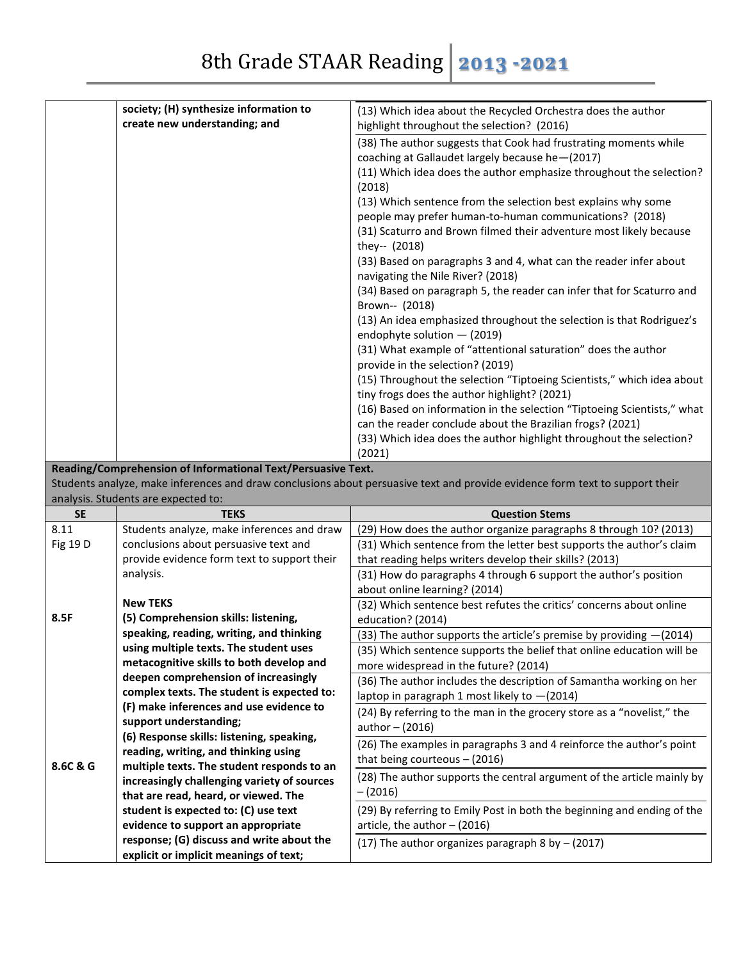| society; (H) synthesize information to | (13) Which idea about the Recycled Orchestra does the author                                                                         |
|----------------------------------------|--------------------------------------------------------------------------------------------------------------------------------------|
| create new understanding; and          | highlight throughout the selection? (2016)                                                                                           |
|                                        | (38) The author suggests that Cook had frustrating moments while                                                                     |
|                                        | coaching at Gallaudet largely because he-(2017)                                                                                      |
|                                        | (11) Which idea does the author emphasize throughout the selection?<br>(2018)                                                        |
|                                        | (13) Which sentence from the selection best explains why some<br>people may prefer human-to-human communications? (2018)             |
|                                        | (31) Scaturro and Brown filmed their adventure most likely because<br>they-- (2018)                                                  |
|                                        | (33) Based on paragraphs 3 and 4, what can the reader infer about<br>navigating the Nile River? (2018)                               |
|                                        | (34) Based on paragraph 5, the reader can infer that for Scaturro and<br>Brown-- (2018)                                              |
|                                        | (13) An idea emphasized throughout the selection is that Rodriguez's<br>endophyte solution $-$ (2019)                                |
|                                        | (31) What example of "attentional saturation" does the author<br>provide in the selection? (2019)                                    |
|                                        | (15) Throughout the selection "Tiptoeing Scientists," which idea about<br>tiny frogs does the author highlight? (2021)               |
|                                        | (16) Based on information in the selection "Tiptoeing Scientists," what<br>can the reader conclude about the Brazilian frogs? (2021) |
|                                        | (33) Which idea does the author highlight throughout the selection?<br>(2021)                                                        |

## **Reading/Comprehension of Informational Text/Persuasive Text.**

Students analyze, make inferences and draw conclusions about persuasive text and provide evidence form text to support their analysis. Students are expected to:

| <b>SE</b> | <b>TEKS</b>                                 | <b>Question Stems</b>                                                   |
|-----------|---------------------------------------------|-------------------------------------------------------------------------|
| 8.11      | Students analyze, make inferences and draw  | (29) How does the author organize paragraphs 8 through 10? (2013)       |
| Fig 19 D  | conclusions about persuasive text and       | (31) Which sentence from the letter best supports the author's claim    |
|           | provide evidence form text to support their | that reading helps writers develop their skills? (2013)                 |
|           | analysis.                                   | (31) How do paragraphs 4 through 6 support the author's position        |
|           |                                             | about online learning? (2014)                                           |
|           | <b>New TEKS</b>                             | (32) Which sentence best refutes the critics' concerns about online     |
| 8.5F      | (5) Comprehension skills: listening,        | education? (2014)                                                       |
|           | speaking, reading, writing, and thinking    | (33) The author supports the article's premise by providing -(2014)     |
|           | using multiple texts. The student uses      | (35) Which sentence supports the belief that online education will be   |
|           | metacognitive skills to both develop and    | more widespread in the future? (2014)                                   |
|           | deepen comprehension of increasingly        | (36) The author includes the description of Samantha working on her     |
|           | complex texts. The student is expected to:  | laptop in paragraph 1 most likely to $-(2014)$                          |
|           | (F) make inferences and use evidence to     | (24) By referring to the man in the grocery store as a "novelist," the  |
|           | support understanding;                      | author $-$ (2016)                                                       |
|           | (6) Response skills: listening, speaking,   | (26) The examples in paragraphs 3 and 4 reinforce the author's point    |
|           | reading, writing, and thinking using        | that being courteous $-$ (2016)                                         |
| 8.6C & G  | multiple texts. The student responds to an  | (28) The author supports the central argument of the article mainly by  |
|           | increasingly challenging variety of sources | $-(2016)$                                                               |
|           | that are read, heard, or viewed. The        |                                                                         |
|           | student is expected to: (C) use text        | (29) By referring to Emily Post in both the beginning and ending of the |
|           | evidence to support an appropriate          | article, the author $-$ (2016)                                          |
|           | response; (G) discuss and write about the   | (17) The author organizes paragraph 8 by - (2017)                       |
|           | explicit or implicit meanings of text;      |                                                                         |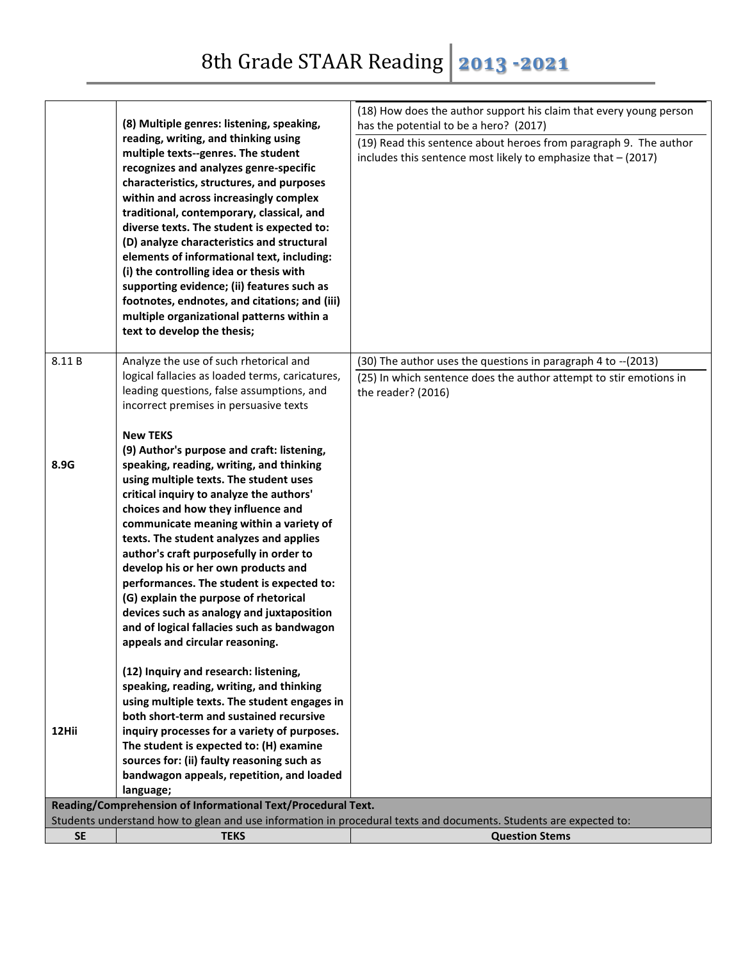|                                                                                                                   | (8) Multiple genres: listening, speaking,<br>reading, writing, and thinking using<br>multiple texts--genres. The student<br>recognizes and analyzes genre-specific<br>characteristics, structures, and purposes<br>within and across increasingly complex<br>traditional, contemporary, classical, and<br>diverse texts. The student is expected to:<br>(D) analyze characteristics and structural<br>elements of informational text, including:<br>(i) the controlling idea or thesis with<br>supporting evidence; (ii) features such as<br>footnotes, endnotes, and citations; and (iii)<br>multiple organizational patterns within a<br>text to develop the thesis; | (18) How does the author support his claim that every young person<br>has the potential to be a hero? (2017)<br>(19) Read this sentence about heroes from paragraph 9. The author<br>includes this sentence most likely to emphasize that $-$ (2017) |
|-------------------------------------------------------------------------------------------------------------------|------------------------------------------------------------------------------------------------------------------------------------------------------------------------------------------------------------------------------------------------------------------------------------------------------------------------------------------------------------------------------------------------------------------------------------------------------------------------------------------------------------------------------------------------------------------------------------------------------------------------------------------------------------------------|------------------------------------------------------------------------------------------------------------------------------------------------------------------------------------------------------------------------------------------------------|
| 8.11B                                                                                                             | Analyze the use of such rhetorical and                                                                                                                                                                                                                                                                                                                                                                                                                                                                                                                                                                                                                                 | (30) The author uses the questions in paragraph 4 to -- (2013)                                                                                                                                                                                       |
|                                                                                                                   | logical fallacies as loaded terms, caricatures,<br>leading questions, false assumptions, and                                                                                                                                                                                                                                                                                                                                                                                                                                                                                                                                                                           | (25) In which sentence does the author attempt to stir emotions in<br>the reader? (2016)                                                                                                                                                             |
|                                                                                                                   | incorrect premises in persuasive texts                                                                                                                                                                                                                                                                                                                                                                                                                                                                                                                                                                                                                                 |                                                                                                                                                                                                                                                      |
|                                                                                                                   | <b>New TEKS</b>                                                                                                                                                                                                                                                                                                                                                                                                                                                                                                                                                                                                                                                        |                                                                                                                                                                                                                                                      |
|                                                                                                                   | (9) Author's purpose and craft: listening,                                                                                                                                                                                                                                                                                                                                                                                                                                                                                                                                                                                                                             |                                                                                                                                                                                                                                                      |
| 8.9G                                                                                                              | speaking, reading, writing, and thinking                                                                                                                                                                                                                                                                                                                                                                                                                                                                                                                                                                                                                               |                                                                                                                                                                                                                                                      |
|                                                                                                                   | using multiple texts. The student uses                                                                                                                                                                                                                                                                                                                                                                                                                                                                                                                                                                                                                                 |                                                                                                                                                                                                                                                      |
|                                                                                                                   | critical inquiry to analyze the authors'                                                                                                                                                                                                                                                                                                                                                                                                                                                                                                                                                                                                                               |                                                                                                                                                                                                                                                      |
|                                                                                                                   | choices and how they influence and                                                                                                                                                                                                                                                                                                                                                                                                                                                                                                                                                                                                                                     |                                                                                                                                                                                                                                                      |
|                                                                                                                   | communicate meaning within a variety of                                                                                                                                                                                                                                                                                                                                                                                                                                                                                                                                                                                                                                |                                                                                                                                                                                                                                                      |
|                                                                                                                   | texts. The student analyzes and applies                                                                                                                                                                                                                                                                                                                                                                                                                                                                                                                                                                                                                                |                                                                                                                                                                                                                                                      |
|                                                                                                                   | author's craft purposefully in order to<br>develop his or her own products and                                                                                                                                                                                                                                                                                                                                                                                                                                                                                                                                                                                         |                                                                                                                                                                                                                                                      |
|                                                                                                                   | performances. The student is expected to:                                                                                                                                                                                                                                                                                                                                                                                                                                                                                                                                                                                                                              |                                                                                                                                                                                                                                                      |
|                                                                                                                   | (G) explain the purpose of rhetorical                                                                                                                                                                                                                                                                                                                                                                                                                                                                                                                                                                                                                                  |                                                                                                                                                                                                                                                      |
|                                                                                                                   | devices such as analogy and juxtaposition                                                                                                                                                                                                                                                                                                                                                                                                                                                                                                                                                                                                                              |                                                                                                                                                                                                                                                      |
|                                                                                                                   | and of logical fallacies such as bandwagon                                                                                                                                                                                                                                                                                                                                                                                                                                                                                                                                                                                                                             |                                                                                                                                                                                                                                                      |
|                                                                                                                   | appeals and circular reasoning.                                                                                                                                                                                                                                                                                                                                                                                                                                                                                                                                                                                                                                        |                                                                                                                                                                                                                                                      |
|                                                                                                                   | (12) Inquiry and research: listening,                                                                                                                                                                                                                                                                                                                                                                                                                                                                                                                                                                                                                                  |                                                                                                                                                                                                                                                      |
|                                                                                                                   | speaking, reading, writing, and thinking                                                                                                                                                                                                                                                                                                                                                                                                                                                                                                                                                                                                                               |                                                                                                                                                                                                                                                      |
|                                                                                                                   | using multiple texts. The student engages in                                                                                                                                                                                                                                                                                                                                                                                                                                                                                                                                                                                                                           |                                                                                                                                                                                                                                                      |
|                                                                                                                   | both short-term and sustained recursive                                                                                                                                                                                                                                                                                                                                                                                                                                                                                                                                                                                                                                |                                                                                                                                                                                                                                                      |
| 12Hii                                                                                                             | inquiry processes for a variety of purposes.                                                                                                                                                                                                                                                                                                                                                                                                                                                                                                                                                                                                                           |                                                                                                                                                                                                                                                      |
|                                                                                                                   | The student is expected to: (H) examine                                                                                                                                                                                                                                                                                                                                                                                                                                                                                                                                                                                                                                |                                                                                                                                                                                                                                                      |
|                                                                                                                   | sources for: (ii) faulty reasoning such as                                                                                                                                                                                                                                                                                                                                                                                                                                                                                                                                                                                                                             |                                                                                                                                                                                                                                                      |
|                                                                                                                   | bandwagon appeals, repetition, and loaded<br>language;                                                                                                                                                                                                                                                                                                                                                                                                                                                                                                                                                                                                                 |                                                                                                                                                                                                                                                      |
|                                                                                                                   | Reading/Comprehension of Informational Text/Procedural Text.                                                                                                                                                                                                                                                                                                                                                                                                                                                                                                                                                                                                           |                                                                                                                                                                                                                                                      |
| Students understand how to glean and use information in procedural texts and documents. Students are expected to: |                                                                                                                                                                                                                                                                                                                                                                                                                                                                                                                                                                                                                                                                        |                                                                                                                                                                                                                                                      |
| <b>SE</b>                                                                                                         | <b>TEKS</b>                                                                                                                                                                                                                                                                                                                                                                                                                                                                                                                                                                                                                                                            | <b>Question Stems</b>                                                                                                                                                                                                                                |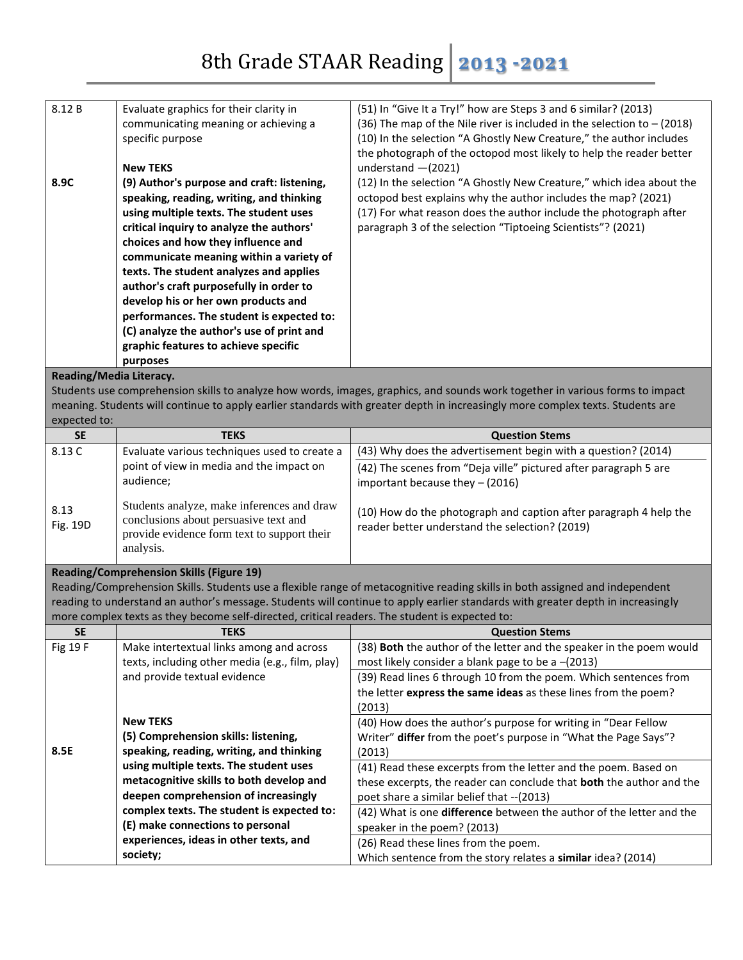| 8.12 B                  | Evaluate graphics for their clarity in                                                         | (51) In "Give It a Try!" how are Steps 3 and 6 similar? (2013)                                                                  |  |
|-------------------------|------------------------------------------------------------------------------------------------|---------------------------------------------------------------------------------------------------------------------------------|--|
|                         | communicating meaning or achieving a                                                           | (36) The map of the Nile river is included in the selection to $-$ (2018)                                                       |  |
|                         | specific purpose                                                                               | (10) In the selection "A Ghostly New Creature," the author includes                                                             |  |
|                         |                                                                                                | the photograph of the octopod most likely to help the reader better                                                             |  |
|                         | <b>New TEKS</b>                                                                                | understand $-(2021)$                                                                                                            |  |
| 8.9C                    | (9) Author's purpose and craft: listening,                                                     | (12) In the selection "A Ghostly New Creature," which idea about the                                                            |  |
|                         | speaking, reading, writing, and thinking                                                       | octopod best explains why the author includes the map? (2021)                                                                   |  |
|                         | using multiple texts. The student uses                                                         | (17) For what reason does the author include the photograph after                                                               |  |
|                         | critical inquiry to analyze the authors'                                                       | paragraph 3 of the selection "Tiptoeing Scientists"? (2021)                                                                     |  |
|                         | choices and how they influence and                                                             |                                                                                                                                 |  |
|                         | communicate meaning within a variety of<br>texts. The student analyzes and applies             |                                                                                                                                 |  |
|                         | author's craft purposefully in order to                                                        |                                                                                                                                 |  |
|                         | develop his or her own products and                                                            |                                                                                                                                 |  |
|                         | performances. The student is expected to:                                                      |                                                                                                                                 |  |
|                         | (C) analyze the author's use of print and                                                      |                                                                                                                                 |  |
|                         | graphic features to achieve specific                                                           |                                                                                                                                 |  |
|                         | purposes                                                                                       |                                                                                                                                 |  |
| Reading/Media Literacy. |                                                                                                |                                                                                                                                 |  |
|                         |                                                                                                | Students use comprehension skills to analyze how words, images, graphics, and sounds work together in various forms to impact   |  |
|                         |                                                                                                | meaning. Students will continue to apply earlier standards with greater depth in increasingly more complex texts. Students are  |  |
| expected to:            |                                                                                                |                                                                                                                                 |  |
| <b>SE</b>               | <b>TEKS</b>                                                                                    | <b>Question Stems</b>                                                                                                           |  |
| 8.13 C                  | Evaluate various techniques used to create a                                                   | (43) Why does the advertisement begin with a question? (2014)                                                                   |  |
|                         | point of view in media and the impact on                                                       | (42) The scenes from "Deja ville" pictured after paragraph 5 are                                                                |  |
|                         | audience;                                                                                      | important because they - (2016)                                                                                                 |  |
|                         | Students analyze, make inferences and draw                                                     |                                                                                                                                 |  |
| 8.13                    | conclusions about persuasive text and                                                          | (10) How do the photograph and caption after paragraph 4 help the                                                               |  |
| Fig. 19D                | provide evidence form text to support their                                                    | reader better understand the selection? (2019)                                                                                  |  |
|                         | analysis.                                                                                      |                                                                                                                                 |  |
|                         |                                                                                                |                                                                                                                                 |  |
|                         | <b>Reading/Comprehension Skills (Figure 19)</b>                                                | Reading/Comprehension Skills. Students use a flexible range of metacognitive reading skills in both assigned and independent    |  |
|                         |                                                                                                | reading to understand an author's message. Students will continue to apply earlier standards with greater depth in increasingly |  |
|                         | more complex texts as they become self-directed, critical readers. The student is expected to: |                                                                                                                                 |  |
| <b>SE</b>               | <b>TEKS</b>                                                                                    | <b>Question Stems</b>                                                                                                           |  |
| Fig 19 F                | Make intertextual links among and across                                                       | (38) <b>Both</b> the author of the letter and the speaker in the poem would                                                     |  |
|                         | texts, including other media (e.g., film, play)                                                | most likely consider a blank page to be a $-(2013)$                                                                             |  |
|                         | and provide textual evidence                                                                   | (39) Read lines 6 through 10 from the poem. Which sentences from                                                                |  |
|                         |                                                                                                | the letter express the same ideas as these lines from the poem?                                                                 |  |
|                         |                                                                                                | (2013)                                                                                                                          |  |
|                         |                                                                                                |                                                                                                                                 |  |
|                         | <b>New TEKS</b>                                                                                | (40) How does the author's purpose for writing in "Dear Fellow                                                                  |  |
|                         | (5) Comprehension skills: listening,                                                           | Writer" differ from the poet's purpose in "What the Page Says"?                                                                 |  |
| 8.5E                    | speaking, reading, writing, and thinking                                                       | (2013)                                                                                                                          |  |
|                         | using multiple texts. The student uses                                                         | (41) Read these excerpts from the letter and the poem. Based on                                                                 |  |
|                         | metacognitive skills to both develop and                                                       | these excerpts, the reader can conclude that both the author and the                                                            |  |
|                         | deepen comprehension of increasingly                                                           | poet share a similar belief that -- (2013)                                                                                      |  |
|                         | complex texts. The student is expected to:                                                     | (42) What is one difference between the author of the letter and the                                                            |  |
|                         | (E) make connections to personal                                                               | speaker in the poem? (2013)                                                                                                     |  |
|                         | experiences, ideas in other texts, and<br>society;                                             | (26) Read these lines from the poem.<br>Which sentence from the story relates a similar idea? (2014)                            |  |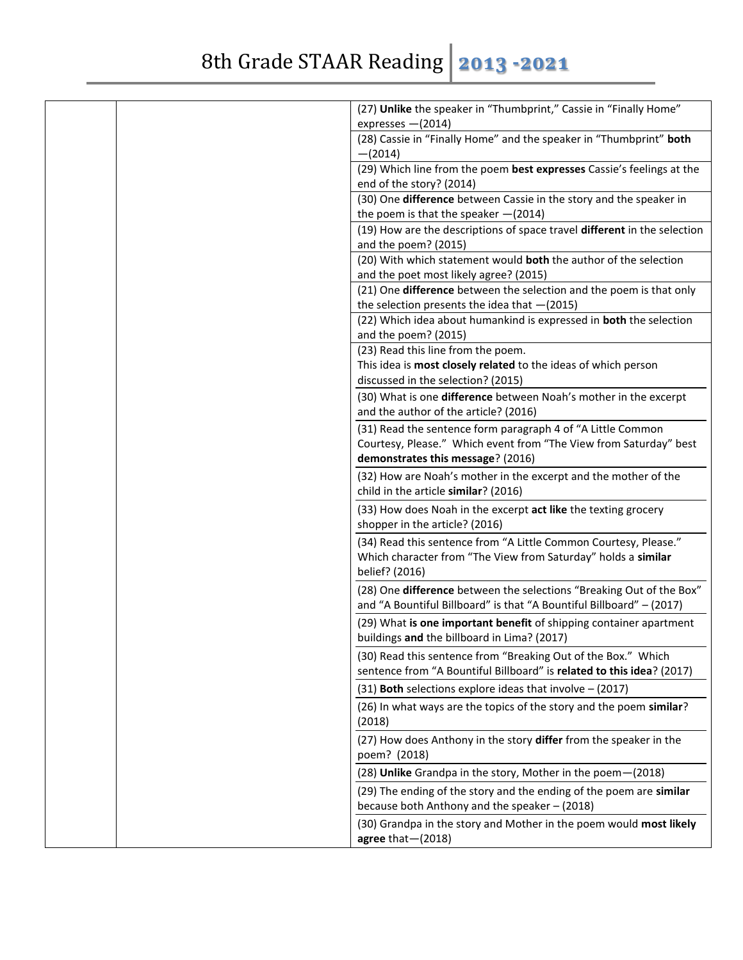| (27) Unlike the speaker in "Thumbprint," Cassie in "Finally Home"                                                                                   |
|-----------------------------------------------------------------------------------------------------------------------------------------------------|
| expresses - (2014)                                                                                                                                  |
| (28) Cassie in "Finally Home" and the speaker in "Thumbprint" both<br>$-(2014)$                                                                     |
| (29) Which line from the poem best expresses Cassie's feelings at the                                                                               |
| end of the story? (2014)                                                                                                                            |
| (30) One difference between Cassie in the story and the speaker in<br>the poem is that the speaker $-(2014)$                                        |
| (19) How are the descriptions of space travel different in the selection                                                                            |
| and the poem? (2015)                                                                                                                                |
| (20) With which statement would both the author of the selection                                                                                    |
| and the poet most likely agree? (2015)                                                                                                              |
| (21) One difference between the selection and the poem is that only<br>the selection presents the idea that $-(2015)$                               |
| (22) Which idea about humankind is expressed in both the selection<br>and the poem? (2015)                                                          |
| (23) Read this line from the poem.                                                                                                                  |
| This idea is most closely related to the ideas of which person                                                                                      |
| discussed in the selection? (2015)                                                                                                                  |
| (30) What is one difference between Noah's mother in the excerpt                                                                                    |
| and the author of the article? (2016)                                                                                                               |
| (31) Read the sentence form paragraph 4 of "A Little Common                                                                                         |
| Courtesy, Please." Which event from "The View from Saturday" best                                                                                   |
| demonstrates this message? (2016)                                                                                                                   |
| (32) How are Noah's mother in the excerpt and the mother of the<br>child in the article similar? (2016)                                             |
| (33) How does Noah in the excerpt act like the texting grocery                                                                                      |
| shopper in the article? (2016)                                                                                                                      |
| (34) Read this sentence from "A Little Common Courtesy, Please."<br>Which character from "The View from Saturday" holds a similar<br>belief? (2016) |
| (28) One difference between the selections "Breaking Out of the Box"<br>and "A Bountiful Billboard" is that "A Bountiful Billboard" - (2017)        |
| (29) What is one important benefit of shipping container apartment<br>buildings and the billboard in Lima? (2017)                                   |
| (30) Read this sentence from "Breaking Out of the Box." Which<br>sentence from "A Bountiful Billboard" is related to this idea? (2017)              |
| (31) Both selections explore ideas that involve $-$ (2017)                                                                                          |
| (26) In what ways are the topics of the story and the poem similar?                                                                                 |
| (2018)                                                                                                                                              |
| (27) How does Anthony in the story differ from the speaker in the<br>poem? (2018)                                                                   |
| (28) Unlike Grandpa in the story, Mother in the poem-(2018)                                                                                         |
| (29) The ending of the story and the ending of the poem are similar                                                                                 |
| because both Anthony and the speaker - (2018)                                                                                                       |
| (30) Grandpa in the story and Mother in the poem would most likely<br>agree that $-(2018)$                                                          |